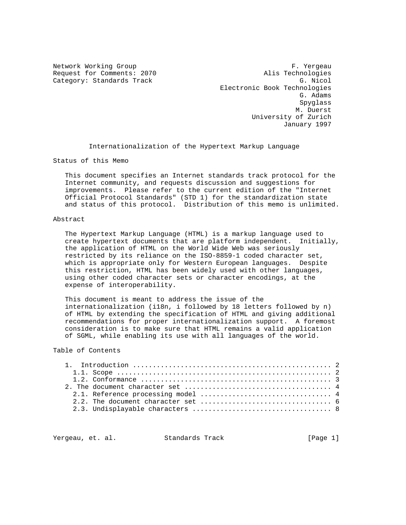Network Working Group entitled and the set of the Second Pressure of the Second Pressure of the Second Pressure Request for Comments: 2070 Alis Technologies Category: Standards Track G. Nicol Electronic Book Technologies G. Adams Spyglass M. Duerst University of Zurich January 1997

Internationalization of the Hypertext Markup Language

Status of this Memo

 This document specifies an Internet standards track protocol for the Internet community, and requests discussion and suggestions for improvements. Please refer to the current edition of the "Internet Official Protocol Standards" (STD 1) for the standardization state and status of this protocol. Distribution of this memo is unlimited.

### Abstract

 The Hypertext Markup Language (HTML) is a markup language used to create hypertext documents that are platform independent. Initially, the application of HTML on the World Wide Web was seriously restricted by its reliance on the ISO-8859-1 coded character set, which is appropriate only for Western European languages. Despite this restriction, HTML has been widely used with other languages, using other coded character sets or character encodings, at the expense of interoperability.

 This document is meant to address the issue of the internationalization (i18n, i followed by 18 letters followed by n) of HTML by extending the specification of HTML and giving additional recommendations for proper internationalization support. A foremost consideration is to make sure that HTML remains a valid application of SGML, while enabling its use with all languages of the world.

# Table of Contents

|  | 2.2. The document character set $\ldots, \ldots, \ldots, \ldots, \ldots, \ldots, \ldots, \ldots,$ 6 |  |
|--|-----------------------------------------------------------------------------------------------------|--|
|  |                                                                                                     |  |
|  |                                                                                                     |  |

Yergeau, et. al. Standards Track [Page 1]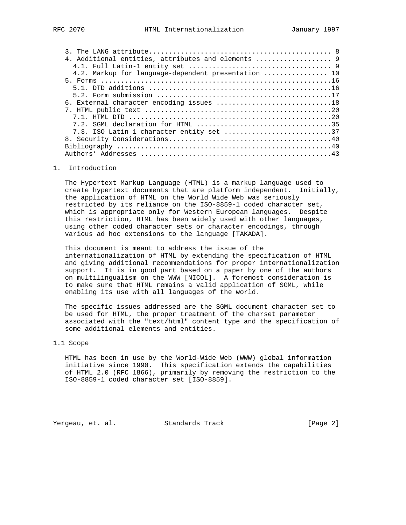| 4.2. Markup for language-dependent presentation  10 |
|-----------------------------------------------------|
|                                                     |
|                                                     |
|                                                     |
| 6. External character encoding issues 18            |
|                                                     |
|                                                     |
|                                                     |
| 7.3. ISO Latin 1 character entity set 37            |
|                                                     |
|                                                     |
|                                                     |

## 1. Introduction

 The Hypertext Markup Language (HTML) is a markup language used to create hypertext documents that are platform independent. Initially, the application of HTML on the World Wide Web was seriously restricted by its reliance on the ISO-8859-1 coded character set, which is appropriate only for Western European languages. Despite this restriction, HTML has been widely used with other languages, using other coded character sets or character encodings, through various ad hoc extensions to the language [TAKADA].

 This document is meant to address the issue of the internationalization of HTML by extending the specification of HTML and giving additional recommendations for proper internationalization support. It is in good part based on a paper by one of the authors on multilingualism on the WWW [NICOL]. A foremost consideration is to make sure that HTML remains a valid application of SGML, while enabling its use with all languages of the world.

 The specific issues addressed are the SGML document character set to be used for HTML, the proper treatment of the charset parameter associated with the "text/html" content type and the specification of some additional elements and entities.

# 1.1 Scope

 HTML has been in use by the World-Wide Web (WWW) global information initiative since 1990. This specification extends the capabilities of HTML 2.0 (RFC 1866), primarily by removing the restriction to the ISO-8859-1 coded character set [ISO-8859].

Yergeau, et. al. Standards Track [Page 2]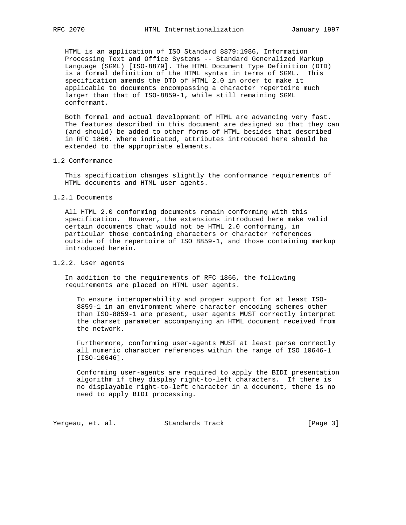HTML is an application of ISO Standard 8879:1986, Information Processing Text and Office Systems -- Standard Generalized Markup Language (SGML) [ISO-8879]. The HTML Document Type Definition (DTD) is a formal definition of the HTML syntax in terms of SGML. This specification amends the DTD of HTML 2.0 in order to make it applicable to documents encompassing a character repertoire much larger than that of ISO-8859-1, while still remaining SGML conformant.

 Both formal and actual development of HTML are advancing very fast. The features described in this document are designed so that they can (and should) be added to other forms of HTML besides that described in RFC 1866. Where indicated, attributes introduced here should be extended to the appropriate elements.

### 1.2 Conformance

 This specification changes slightly the conformance requirements of HTML documents and HTML user agents.

#### 1.2.1 Documents

 All HTML 2.0 conforming documents remain conforming with this specification. However, the extensions introduced here make valid certain documents that would not be HTML 2.0 conforming, in particular those containing characters or character references outside of the repertoire of ISO 8859-1, and those containing markup introduced herein.

## 1.2.2. User agents

 In addition to the requirements of RFC 1866, the following requirements are placed on HTML user agents.

 To ensure interoperability and proper support for at least ISO- 8859-1 in an environment where character encoding schemes other than ISO-8859-1 are present, user agents MUST correctly interpret the charset parameter accompanying an HTML document received from the network.

 Furthermore, conforming user-agents MUST at least parse correctly all numeric character references within the range of ISO 10646-1 [ISO-10646].

 Conforming user-agents are required to apply the BIDI presentation algorithm if they display right-to-left characters. If there is no displayable right-to-left character in a document, there is no need to apply BIDI processing.

Yergeau, et. al. Standards Track [Page 3]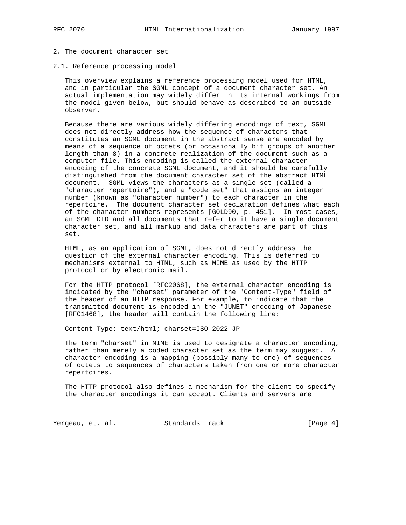## 2. The document character set

#### 2.1. Reference processing model

 This overview explains a reference processing model used for HTML, and in particular the SGML concept of a document character set. An actual implementation may widely differ in its internal workings from the model given below, but should behave as described to an outside observer.

 Because there are various widely differing encodings of text, SGML does not directly address how the sequence of characters that constitutes an SGML document in the abstract sense are encoded by means of a sequence of octets (or occasionally bit groups of another length than 8) in a concrete realization of the document such as a computer file. This encoding is called the external character encoding of the concrete SGML document, and it should be carefully distinguished from the document character set of the abstract HTML document. SGML views the characters as a single set (called a "character repertoire"), and a "code set" that assigns an integer number (known as "character number") to each character in the repertoire. The document character set declaration defines what each of the character numbers represents [GOLD90, p. 451]. In most cases, an SGML DTD and all documents that refer to it have a single document character set, and all markup and data characters are part of this set.

 HTML, as an application of SGML, does not directly address the question of the external character encoding. This is deferred to mechanisms external to HTML, such as MIME as used by the HTTP protocol or by electronic mail.

 For the HTTP protocol [RFC2068], the external character encoding is indicated by the "charset" parameter of the "Content-Type" field of the header of an HTTP response. For example, to indicate that the transmitted document is encoded in the "JUNET" encoding of Japanese [RFC1468], the header will contain the following line:

Content-Type: text/html; charset=ISO-2022-JP

 The term "charset" in MIME is used to designate a character encoding, rather than merely a coded character set as the term may suggest. A character encoding is a mapping (possibly many-to-one) of sequences of octets to sequences of characters taken from one or more character repertoires.

 The HTTP protocol also defines a mechanism for the client to specify the character encodings it can accept. Clients and servers are

Yergeau, et. al. Standards Track [Page 4]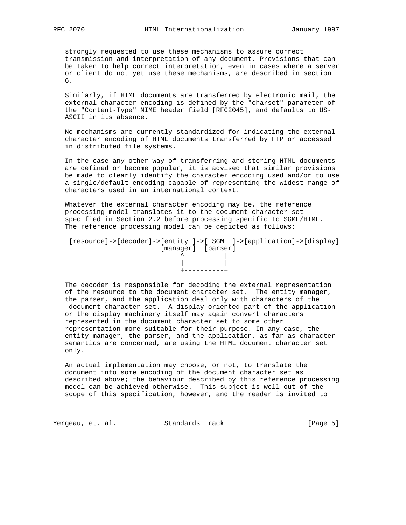strongly requested to use these mechanisms to assure correct transmission and interpretation of any document. Provisions that can be taken to help correct interpretation, even in cases where a server or client do not yet use these mechanisms, are described in section 6.

 Similarly, if HTML documents are transferred by electronic mail, the external character encoding is defined by the "charset" parameter of the "Content-Type" MIME header field [RFC2045], and defaults to US- ASCII in its absence.

 No mechanisms are currently standardized for indicating the external character encoding of HTML documents transferred by FTP or accessed in distributed file systems.

 In the case any other way of transferring and storing HTML documents are defined or become popular, it is advised that similar provisions be made to clearly identify the character encoding used and/or to use a single/default encoding capable of representing the widest range of characters used in an international context.

 Whatever the external character encoding may be, the reference processing model translates it to the document character set specified in Section 2.2 before processing specific to SGML/HTML. The reference processing model can be depicted as follows:

 [resource]->[decoder]->[entity ]->[ SGML ]->[application]->[display] [manager] [parser] ^ | | | +----------+

 The decoder is responsible for decoding the external representation of the resource to the document character set. The entity manager, the parser, and the application deal only with characters of the document character set. A display-oriented part of the application or the display machinery itself may again convert characters represented in the document character set to some other representation more suitable for their purpose. In any case, the entity manager, the parser, and the application, as far as character semantics are concerned, are using the HTML document character set only.

 An actual implementation may choose, or not, to translate the document into some encoding of the document character set as described above; the behaviour described by this reference processing model can be achieved otherwise. This subject is well out of the scope of this specification, however, and the reader is invited to

Yergeau, et. al. Standards Track [Page 5]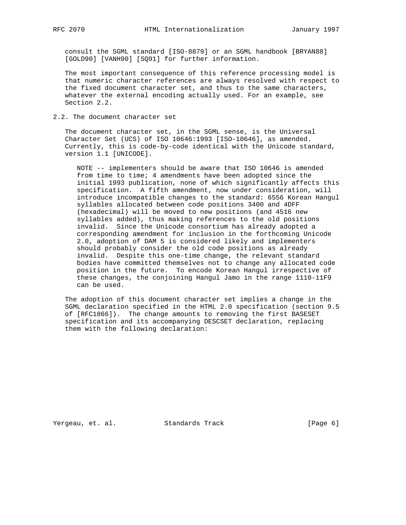consult the SGML standard [ISO-8879] or an SGML handbook [BRYAN88] [GOLD90] [VANH90] [SQ91] for further information.

 The most important consequence of this reference processing model is that numeric character references are always resolved with respect to the fixed document character set, and thus to the same characters, whatever the external encoding actually used. For an example, see Section 2.2.

2.2. The document character set

 The document character set, in the SGML sense, is the Universal Character Set (UCS) of ISO 10646:1993 [ISO-10646], as amended. Currently, this is code-by-code identical with the Unicode standard, version 1.1 [UNICODE].

 NOTE -- implementers should be aware that ISO 10646 is amended from time to time; 4 amendments have been adopted since the initial 1993 publication, none of which significantly affects this specification. A fifth amendment, now under consideration, will introduce incompatible changes to the standard: 6556 Korean Hangul syllables allocated between code positions 3400 and 4DFF (hexadecimal) will be moved to new positions (and 4516 new syllables added), thus making references to the old positions invalid. Since the Unicode consortium has already adopted a corresponding amendment for inclusion in the forthcoming Unicode 2.0, adoption of DAM 5 is considered likely and implementers should probably consider the old code positions as already invalid. Despite this one-time change, the relevant standard bodies have committed themselves not to change any allocated code position in the future. To encode Korean Hangul irrespective of these changes, the conjoining Hangul Jamo in the range 1110-11F9 can be used.

 The adoption of this document character set implies a change in the SGML declaration specified in the HTML 2.0 specification (section 9.5 of [RFC1866]). The change amounts to removing the first BASESET specification and its accompanying DESCSET declaration, replacing them with the following declaration:

Yergeau, et. al. Standards Track [Page 6]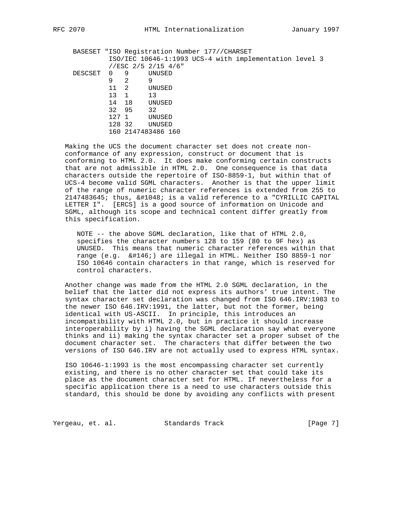| RFC | 2070 |
|-----|------|
|     |      |

|         |                |                | BASESET "ISO Registration Number 177//CHARSET          |  |
|---------|----------------|----------------|--------------------------------------------------------|--|
|         |                |                | ISO/IEC 10646-1:1993 UCS-4 with implementation level 3 |  |
|         |                |                | //ESC 2/5 2/15 4/6"                                    |  |
| DESCSET | $\overline{0}$ | -9             | UNUSED                                                 |  |
|         | 9              | $\mathcal{L}$  | 9                                                      |  |
|         | 11             | $\overline{2}$ | UNUSED                                                 |  |
|         | 13             | $\overline{1}$ | 13                                                     |  |
|         | 14             | 18             | UNUSED                                                 |  |
|         | 32 95          |                | 32                                                     |  |
|         | 127 1          |                | UNUSED                                                 |  |
|         | 128 32         |                | UNUSED                                                 |  |
|         |                |                | 160 2147483486 160                                     |  |
|         |                |                |                                                        |  |

 Making the UCS the document character set does not create non conformance of any expression, construct or document that is conforming to HTML 2.0. It does make conforming certain constructs that are not admissible in HTML 2.0. One consequence is that data characters outside the repertoire of ISO-8859-1, but within that of UCS-4 become valid SGML characters. Another is that the upper limit of the range of numeric character references is extended from 255 to  $2147483645$ ; thus,  $\&\#1048$ ; is a valid reference to a "CYRILLIC CAPITAL LETTER I". [ERCS] is a good source of information on Unicode and SGML, although its scope and technical content differ greatly from this specification.

 NOTE -- the above SGML declaration, like that of HTML 2.0, specifies the character numbers 128 to 159 (80 to 9F hex) as UNUSED. This means that numeric character references within that range (e.g. ') are illegal in HTML. Neither ISO 8859-1 nor ISO 10646 contain characters in that range, which is reserved for control characters.

 Another change was made from the HTML 2.0 SGML declaration, in the belief that the latter did not express its authors' true intent. The syntax character set declaration was changed from ISO 646.IRV:1983 to the newer ISO 646.IRV:1991, the latter, but not the former, being identical with US-ASCII. In principle, this introduces an incompatibility with HTML 2.0, but in practice it should increase interoperability by i) having the SGML declaration say what everyone thinks and ii) making the syntax character set a proper subset of the document character set. The characters that differ between the two versions of ISO 646.IRV are not actually used to express HTML syntax.

 ISO 10646-1:1993 is the most encompassing character set currently existing, and there is no other character set that could take its place as the document character set for HTML. If nevertheless for a specific application there is a need to use characters outside this standard, this should be done by avoiding any conflicts with present

Yergeau, et. al. Standards Track [Page 7]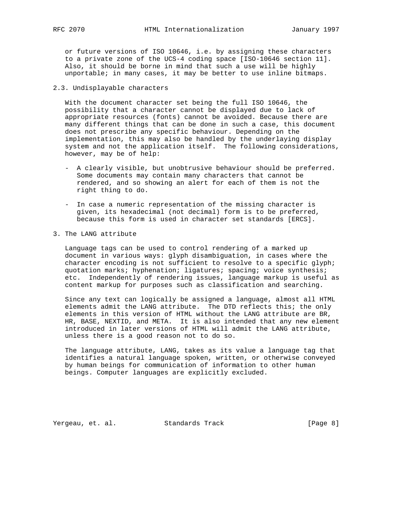or future versions of ISO 10646, i.e. by assigning these characters to a private zone of the UCS-4 coding space [ISO-10646 section 11]. Also, it should be borne in mind that such a use will be highly unportable; in many cases, it may be better to use inline bitmaps.

# 2.3. Undisplayable characters

 With the document character set being the full ISO 10646, the possibility that a character cannot be displayed due to lack of appropriate resources (fonts) cannot be avoided. Because there are many different things that can be done in such a case, this document does not prescribe any specific behaviour. Depending on the implementation, this may also be handled by the underlaying display system and not the application itself. The following considerations, however, may be of help:

- A clearly visible, but unobtrusive behaviour should be preferred. Some documents may contain many characters that cannot be rendered, and so showing an alert for each of them is not the right thing to do.
- In case a numeric representation of the missing character is given, its hexadecimal (not decimal) form is to be preferred, because this form is used in character set standards [ERCS].
- 3. The LANG attribute

 Language tags can be used to control rendering of a marked up document in various ways: glyph disambiguation, in cases where the character encoding is not sufficient to resolve to a specific glyph; quotation marks; hyphenation; ligatures; spacing; voice synthesis; etc. Independently of rendering issues, language markup is useful as content markup for purposes such as classification and searching.

 Since any text can logically be assigned a language, almost all HTML elements admit the LANG attribute. The DTD reflects this; the only elements in this version of HTML without the LANG attribute are BR, HR, BASE, NEXTID, and META. It is also intended that any new element introduced in later versions of HTML will admit the LANG attribute, unless there is a good reason not to do so.

 The language attribute, LANG, takes as its value a language tag that identifies a natural language spoken, written, or otherwise conveyed by human beings for communication of information to other human beings. Computer languages are explicitly excluded.

Yergeau, et. al. Standards Track [Page 8]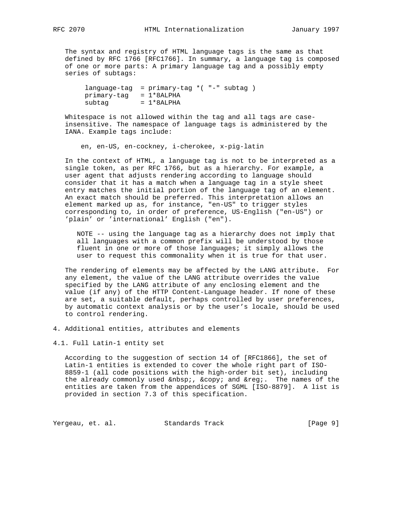The syntax and registry of HTML language tags is the same as that defined by RFC 1766 [RFC1766]. In summary, a language tag is composed of one or more parts: A primary language tag and a possibly empty series of subtags:

 language-tag = primary-tag \*( "-" subtag ) primary-tag = 1\*8ALPHA  $subtag = 1*8ALPHA$ 

 Whitespace is not allowed within the tag and all tags are case insensitive. The namespace of language tags is administered by the IANA. Example tags include:

en, en-US, en-cockney, i-cherokee, x-pig-latin

 In the context of HTML, a language tag is not to be interpreted as a single token, as per RFC 1766, but as a hierarchy. For example, a user agent that adjusts rendering according to language should consider that it has a match when a language tag in a style sheet entry matches the initial portion of the language tag of an element. An exact match should be preferred. This interpretation allows an element marked up as, for instance, "en-US" to trigger styles corresponding to, in order of preference, US-English ("en-US") or 'plain' or 'international' English ("en").

 NOTE -- using the language tag as a hierarchy does not imply that all languages with a common prefix will be understood by those fluent in one or more of those languages; it simply allows the user to request this commonality when it is true for that user.

 The rendering of elements may be affected by the LANG attribute. For any element, the value of the LANG attribute overrides the value specified by the LANG attribute of any enclosing element and the value (if any) of the HTTP Content-Language header. If none of these are set, a suitable default, perhaps controlled by user preferences, by automatic context analysis or by the user's locale, should be used to control rendering.

4. Additional entities, attributes and elements

4.1. Full Latin-1 entity set

 According to the suggestion of section 14 of [RFC1866], the set of Latin-1 entities is extended to cover the whole right part of ISO- 8859-1 (all code positions with the high-order bit set), including the already commonly used  $\&n$ hsp;,  $\©$ ; and  $\&r$ eg;. The names of the entities are taken from the appendices of SGML [ISO-8879]. A list is provided in section 7.3 of this specification.

Yergeau, et. al. Standards Track [Page 9]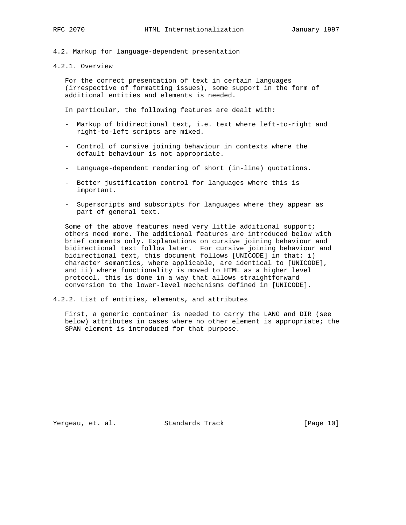4.2. Markup for language-dependent presentation

4.2.1. Overview

 For the correct presentation of text in certain languages (irrespective of formatting issues), some support in the form of additional entities and elements is needed.

In particular, the following features are dealt with:

- Markup of bidirectional text, i.e. text where left-to-right and right-to-left scripts are mixed.
- Control of cursive joining behaviour in contexts where the default behaviour is not appropriate.
- Language-dependent rendering of short (in-line) quotations.
- Better justification control for languages where this is important.
- Superscripts and subscripts for languages where they appear as part of general text.

 Some of the above features need very little additional support; others need more. The additional features are introduced below with brief comments only. Explanations on cursive joining behaviour and bidirectional text follow later. For cursive joining behaviour and bidirectional text, this document follows [UNICODE] in that: i) character semantics, where applicable, are identical to [UNICODE], and ii) where functionality is moved to HTML as a higher level protocol, this is done in a way that allows straightforward conversion to the lower-level mechanisms defined in [UNICODE].

4.2.2. List of entities, elements, and attributes

 First, a generic container is needed to carry the LANG and DIR (see below) attributes in cases where no other element is appropriate; the SPAN element is introduced for that purpose.

Yergeau, et. al. Standards Track [Page 10]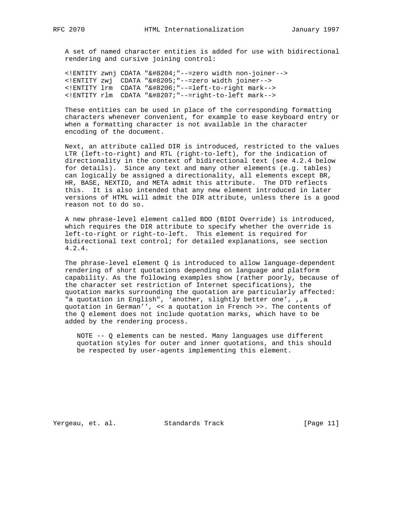A set of named character entities is added for use with bidirectional rendering and cursive joining control:

 <!ENTITY zwnj CDATA "&#8204;"--=zero width non-joiner--> <!ENTITY zwj CDATA "&#8205;"--=zero width joiner--> <!ENTITY lrm CDATA "&#8206;"--=left-to-right mark--> <! ENTITY rlm CDATA "&#8207; "--=right-to-left mark-->

 These entities can be used in place of the corresponding formatting characters whenever convenient, for example to ease keyboard entry or when a formatting character is not available in the character encoding of the document.

 Next, an attribute called DIR is introduced, restricted to the values LTR (left-to-right) and RTL (right-to-left), for the indication of directionality in the context of bidirectional text (see 4.2.4 below for details). Since any text and many other elements (e.g. tables) can logically be assigned a directionality, all elements except BR, HR, BASE, NEXTID, and META admit this attribute. The DTD reflects this. It is also intended that any new element introduced in later versions of HTML will admit the DIR attribute, unless there is a good reason not to do so.

 A new phrase-level element called BDO (BIDI Override) is introduced, which requires the DIR attribute to specify whether the override is left-to-right or right-to-left. This element is required for bidirectional text control; for detailed explanations, see section 4.2.4.

 The phrase-level element Q is introduced to allow language-dependent rendering of short quotations depending on language and platform capability. As the following examples show (rather poorly, because of the character set restriction of Internet specifications), the quotation marks surrounding the quotation are particularly affected: "a quotation in English", 'another, slightly better one', ,,a quotation in German'', << a quotation in French >>. The contents of the Q element does not include quotation marks, which have to be added by the rendering process.

 NOTE -- Q elements can be nested. Many languages use different quotation styles for outer and inner quotations, and this should be respected by user-agents implementing this element.

Yergeau, et. al. Standards Track [Page 11]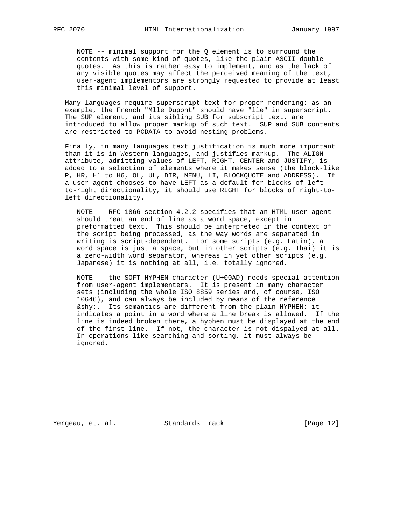NOTE -- minimal support for the Q element is to surround the contents with some kind of quotes, like the plain ASCII double quotes. As this is rather easy to implement, and as the lack of any visible quotes may affect the perceived meaning of the text, user-agent implementors are strongly requested to provide at least this minimal level of support.

 Many languages require superscript text for proper rendering: as an example, the French "Mlle Dupont" should have "lle" in superscript. The SUP element, and its sibling SUB for subscript text, are introduced to allow proper markup of such text. SUP and SUB contents are restricted to PCDATA to avoid nesting problems.

 Finally, in many languages text justification is much more important than it is in Western languages, and justifies markup. The ALIGN attribute, admitting values of LEFT, RIGHT, CENTER and JUSTIFY, is added to a selection of elements where it makes sense (the block-like P, HR, H1 to H6, OL, UL, DIR, MENU, LI, BLOCKQUOTE and ADDRESS). If a user-agent chooses to have LEFT as a default for blocks of left to-right directionality, it should use RIGHT for blocks of right-to left directionality.

 NOTE -- RFC 1866 section 4.2.2 specifies that an HTML user agent should treat an end of line as a word space, except in preformatted text. This should be interpreted in the context of the script being processed, as the way words are separated in writing is script-dependent. For some scripts (e.g. Latin), a word space is just a space, but in other scripts (e.g. Thai) it is a zero-width word separator, whereas in yet other scripts (e.g. Japanese) it is nothing at all, i.e. totally ignored.

 NOTE -- the SOFT HYPHEN character (U+00AD) needs special attention from user-agent implementers. It is present in many character sets (including the whole ISO 8859 series and, of course, ISO 10646), and can always be included by means of the reference ­. Its semantics are different from the plain HYPHEN: it indicates a point in a word where a line break is allowed. If the line is indeed broken there, a hyphen must be displayed at the end of the first line. If not, the character is not dispalyed at all. In operations like searching and sorting, it must always be ignored.

Yergeau, et. al. Standards Track [Page 12]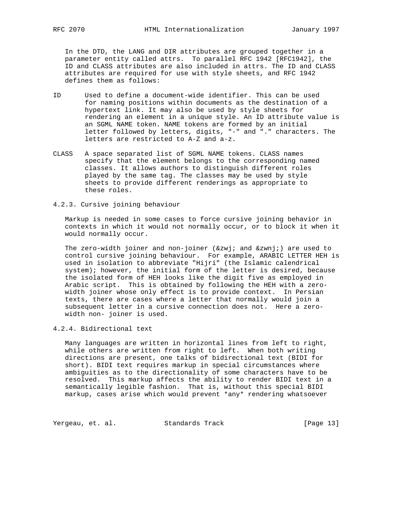In the DTD, the LANG and DIR attributes are grouped together in a parameter entity called attrs. To parallel RFC 1942 [RFC1942], the ID and CLASS attributes are also included in attrs. The ID and CLASS attributes are required for use with style sheets, and RFC 1942 defines them as follows:

- ID Used to define a document-wide identifier. This can be used for naming positions within documents as the destination of a hypertext link. It may also be used by style sheets for rendering an element in a unique style. An ID attribute value is an SGML NAME token. NAME tokens are formed by an initial letter followed by letters, digits, "-" and "." characters. The letters are restricted to A-Z and a-z.
- CLASS A space separated list of SGML NAME tokens. CLASS names specify that the element belongs to the corresponding named classes. It allows authors to distinguish different roles played by the same tag. The classes may be used by style sheets to provide different renderings as appropriate to these roles.
- 4.2.3. Cursive joining behaviour

 Markup is needed in some cases to force cursive joining behavior in contexts in which it would not normally occur, or to block it when it would normally occur.

The zero-width joiner and non-joiner ( $‍$ ; and  $‌$ ;) are used to control cursive joining behaviour. For example, ARABIC LETTER HEH is used in isolation to abbreviate "Hijri" (the Islamic calendrical system); however, the initial form of the letter is desired, because the isolated form of HEH looks like the digit five as employed in Arabic script. This is obtained by following the HEH with a zero width joiner whose only effect is to provide context. In Persian texts, there are cases where a letter that normally would join a subsequent letter in a cursive connection does not. Here a zero width non- joiner is used.

4.2.4. Bidirectional text

 Many languages are written in horizontal lines from left to right, while others are written from right to left. When both writing directions are present, one talks of bidirectional text (BIDI for short). BIDI text requires markup in special circumstances where ambiguities as to the directionality of some characters have to be resolved. This markup affects the ability to render BIDI text in a semantically legible fashion. That is, without this special BIDI markup, cases arise which would prevent \*any\* rendering whatsoever

Yergeau, et. al. Standards Track [Page 13]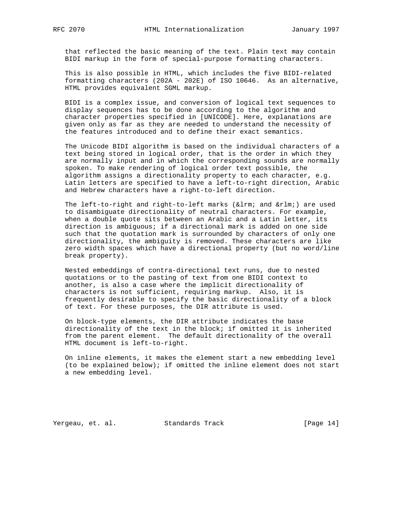that reflected the basic meaning of the text. Plain text may contain BIDI markup in the form of special-purpose formatting characters.

 This is also possible in HTML, which includes the five BIDI-related formatting characters (202A - 202E) of ISO 10646. As an alternative, HTML provides equivalent SGML markup.

 BIDI is a complex issue, and conversion of logical text sequences to display sequences has to be done according to the algorithm and character properties specified in [UNICODE]. Here, explanations are given only as far as they are needed to understand the necessity of the features introduced and to define their exact semantics.

 The Unicode BIDI algorithm is based on the individual characters of a text being stored in logical order, that is the order in which they are normally input and in which the corresponding sounds are normally spoken. To make rendering of logical order text possible, the algorithm assigns a directionality property to each character, e.g. Latin letters are specified to have a left-to-right direction, Arabic and Hebrew characters have a right-to-left direction.

The left-to-right and right-to-left marks (‎ and ‏) are used to disambiguate directionality of neutral characters. For example, when a double quote sits between an Arabic and a Latin letter, its direction is ambiguous; if a directional mark is added on one side such that the quotation mark is surrounded by characters of only one directionality, the ambiguity is removed. These characters are like zero width spaces which have a directional property (but no word/line break property).

 Nested embeddings of contra-directional text runs, due to nested quotations or to the pasting of text from one BIDI context to another, is also a case where the implicit directionality of characters is not sufficient, requiring markup. Also, it is frequently desirable to specify the basic directionality of a block of text. For these purposes, the DIR attribute is used.

 On block-type elements, the DIR attribute indicates the base directionality of the text in the block; if omitted it is inherited from the parent element. The default directionality of the overall HTML document is left-to-right.

 On inline elements, it makes the element start a new embedding level (to be explained below); if omitted the inline element does not start a new embedding level.

Yergeau, et. al. Standards Track [Page 14]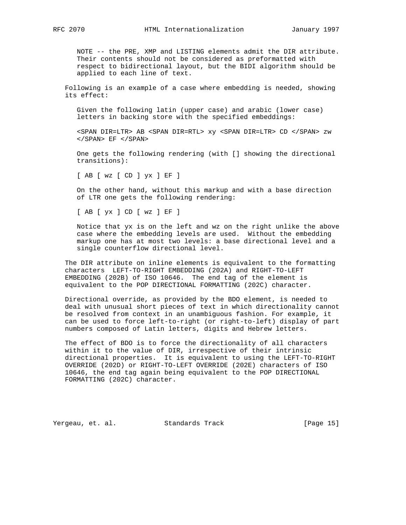NOTE -- the PRE, XMP and LISTING elements admit the DIR attribute. Their contents should not be considered as preformatted with respect to bidirectional layout, but the BIDI algorithm should be applied to each line of text.

 Following is an example of a case where embedding is needed, showing its effect:

 Given the following latin (upper case) and arabic (lower case) letters in backing store with the specified embeddings:

 <SPAN DIR=LTR> AB <SPAN DIR=RTL> xy <SPAN DIR=LTR> CD </SPAN> zw  $\langle$ /SPAN> EF  $\langle$ /SPAN>

 One gets the following rendering (with [] showing the directional transitions):

[ AB [ wz [ CD ] yx ] EF ]

 On the other hand, without this markup and with a base direction of LTR one gets the following rendering:

[ AB [ yx ] CD [ wz ] EF ]

 Notice that yx is on the left and wz on the right unlike the above case where the embedding levels are used. Without the embedding markup one has at most two levels: a base directional level and a single counterflow directional level.

 The DIR attribute on inline elements is equivalent to the formatting characters LEFT-TO-RIGHT EMBEDDING (202A) and RIGHT-TO-LEFT EMBEDDING (202B) of ISO 10646. The end tag of the element is equivalent to the POP DIRECTIONAL FORMATTING (202C) character.

 Directional override, as provided by the BDO element, is needed to deal with unusual short pieces of text in which directionality cannot be resolved from context in an unambiguous fashion. For example, it can be used to force left-to-right (or right-to-left) display of part numbers composed of Latin letters, digits and Hebrew letters.

 The effect of BDO is to force the directionality of all characters within it to the value of DIR, irrespective of their intrinsic directional properties. It is equivalent to using the LEFT-TO-RIGHT OVERRIDE (202D) or RIGHT-TO-LEFT OVERRIDE (202E) characters of ISO 10646, the end tag again being equivalent to the POP DIRECTIONAL FORMATTING (202C) character.

Yergeau, et. al. Standards Track [Page 15]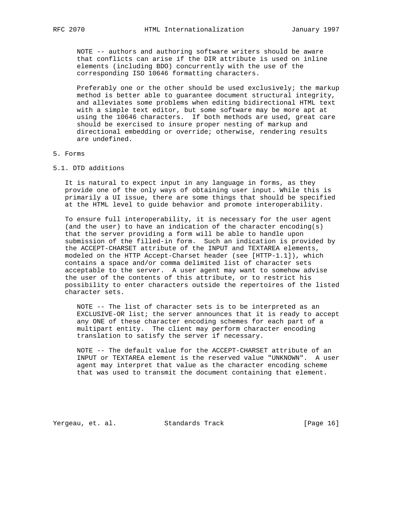NOTE -- authors and authoring software writers should be aware that conflicts can arise if the DIR attribute is used on inline elements (including BDO) concurrently with the use of the corresponding ISO 10646 formatting characters.

 Preferably one or the other should be used exclusively; the markup method is better able to guarantee document structural integrity, and alleviates some problems when editing bidirectional HTML text with a simple text editor, but some software may be more apt at using the 10646 characters. If both methods are used, great care should be exercised to insure proper nesting of markup and directional embedding or override; otherwise, rendering results are undefined.

### 5. Forms

5.1. DTD additions

 It is natural to expect input in any language in forms, as they provide one of the only ways of obtaining user input. While this is primarily a UI issue, there are some things that should be specified at the HTML level to guide behavior and promote interoperability.

 To ensure full interoperability, it is necessary for the user agent (and the user) to have an indication of the character encoding(s) that the server providing a form will be able to handle upon submission of the filled-in form. Such an indication is provided by the ACCEPT-CHARSET attribute of the INPUT and TEXTAREA elements, modeled on the HTTP Accept-Charset header (see [HTTP-1.1]), which contains a space and/or comma delimited list of character sets acceptable to the server. A user agent may want to somehow advise the user of the contents of this attribute, or to restrict his possibility to enter characters outside the repertoires of the listed character sets.

 NOTE -- The list of character sets is to be interpreted as an EXCLUSIVE-OR list; the server announces that it is ready to accept any ONE of these character encoding schemes for each part of a multipart entity. The client may perform character encoding translation to satisfy the server if necessary.

 NOTE -- The default value for the ACCEPT-CHARSET attribute of an INPUT or TEXTAREA element is the reserved value "UNKNOWN". A user agent may interpret that value as the character encoding scheme that was used to transmit the document containing that element.

Yergeau, et. al. Standards Track [Page 16]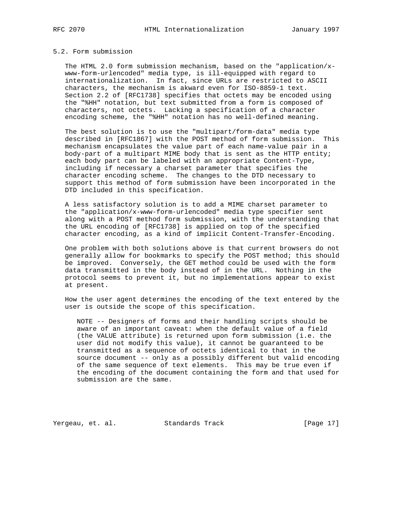#### 5.2. Form submission

 The HTML 2.0 form submission mechanism, based on the "application/x www-form-urlencoded" media type, is ill-equipped with regard to internationalization. In fact, since URLs are restricted to ASCII characters, the mechanism is akward even for ISO-8859-1 text. Section 2.2 of [RFC1738] specifies that octets may be encoded using the "%HH" notation, but text submitted from a form is composed of characters, not octets. Lacking a specification of a character encoding scheme, the "%HH" notation has no well-defined meaning.

 The best solution is to use the "multipart/form-data" media type described in [RFC1867] with the POST method of form submission. This mechanism encapsulates the value part of each name-value pair in a body-part of a multipart MIME body that is sent as the HTTP entity; each body part can be labeled with an appropriate Content-Type, including if necessary a charset parameter that specifies the character encoding scheme. The changes to the DTD necessary to support this method of form submission have been incorporated in the DTD included in this specification.

 A less satisfactory solution is to add a MIME charset parameter to the "application/x-www-form-urlencoded" media type specifier sent along with a POST method form submission, with the understanding that the URL encoding of [RFC1738] is applied on top of the specified character encoding, as a kind of implicit Content-Transfer-Encoding.

 One problem with both solutions above is that current browsers do not generally allow for bookmarks to specify the POST method; this should be improved. Conversely, the GET method could be used with the form data transmitted in the body instead of in the URL. Nothing in the protocol seems to prevent it, but no implementations appear to exist at present.

 How the user agent determines the encoding of the text entered by the user is outside the scope of this specification.

 NOTE -- Designers of forms and their handling scripts should be aware of an important caveat: when the default value of a field (the VALUE attribute) is returned upon form submission (i.e. the user did not modify this value), it cannot be guaranteed to be transmitted as a sequence of octets identical to that in the source document -- only as a possibly different but valid encoding of the same sequence of text elements. This may be true even if the encoding of the document containing the form and that used for submission are the same.

Yergeau, et. al. Standards Track [Page 17]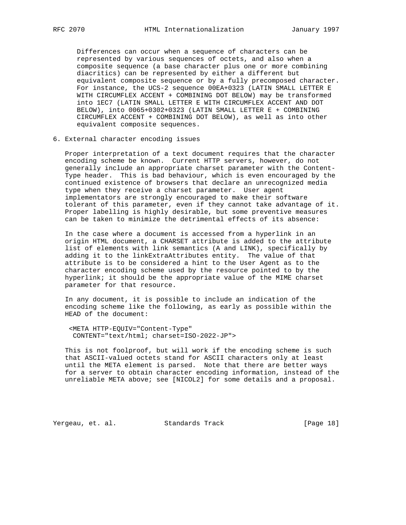Differences can occur when a sequence of characters can be represented by various sequences of octets, and also when a composite sequence (a base character plus one or more combining diacritics) can be represented by either a different but equivalent composite sequence or by a fully precomposed character. For instance, the UCS-2 sequence 00EA+0323 (LATIN SMALL LETTER E WITH CIRCUMFLEX ACCENT + COMBINING DOT BELOW) may be transformed into 1EC7 (LATIN SMALL LETTER E WITH CIRCUMFLEX ACCENT AND DOT BELOW), into 0065+0302+0323 (LATIN SMALL LETTER E + COMBINING CIRCUMFLEX ACCENT + COMBINING DOT BELOW), as well as into other equivalent composite sequences.

### 6. External character encoding issues

 Proper interpretation of a text document requires that the character encoding scheme be known. Current HTTP servers, however, do not generally include an appropriate charset parameter with the Content- Type header. This is bad behaviour, which is even encouraged by the continued existence of browsers that declare an unrecognized media type when they receive a charset parameter. User agent implementators are strongly encouraged to make their software tolerant of this parameter, even if they cannot take advantage of it. Proper labelling is highly desirable, but some preventive measures can be taken to minimize the detrimental effects of its absence:

 In the case where a document is accessed from a hyperlink in an origin HTML document, a CHARSET attribute is added to the attribute list of elements with link semantics (A and LINK), specifically by adding it to the linkExtraAttributes entity. The value of that attribute is to be considered a hint to the User Agent as to the character encoding scheme used by the resource pointed to by the hyperlink; it should be the appropriate value of the MIME charset parameter for that resource.

 In any document, it is possible to include an indication of the encoding scheme like the following, as early as possible within the HEAD of the document:

 <META HTTP-EQUIV="Content-Type" CONTENT="text/html; charset=ISO-2022-JP">

 This is not foolproof, but will work if the encoding scheme is such that ASCII-valued octets stand for ASCII characters only at least until the META element is parsed. Note that there are better ways for a server to obtain character encoding information, instead of the unreliable META above; see [NICOL2] for some details and a proposal.

Yergeau, et. al. Standards Track [Page 18]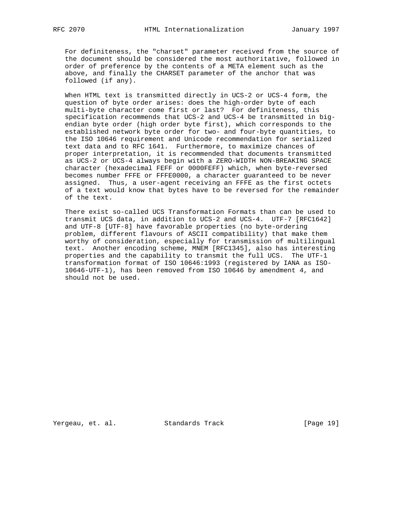For definiteness, the "charset" parameter received from the source of the document should be considered the most authoritative, followed in order of preference by the contents of a META element such as the above, and finally the CHARSET parameter of the anchor that was followed (if any).

 When HTML text is transmitted directly in UCS-2 or UCS-4 form, the question of byte order arises: does the high-order byte of each multi-byte character come first or last? For definiteness, this specification recommends that UCS-2 and UCS-4 be transmitted in big endian byte order (high order byte first), which corresponds to the established network byte order for two- and four-byte quantities, to the ISO 10646 requirement and Unicode recommendation for serialized text data and to RFC 1641. Furthermore, to maximize chances of proper interpretation, it is recommended that documents transmitted as UCS-2 or UCS-4 always begin with a ZERO-WIDTH NON-BREAKING SPACE character (hexadecimal FEFF or 0000FEFF) which, when byte-reversed becomes number FFFE or FFFE0000, a character guaranteed to be never assigned. Thus, a user-agent receiving an FFFE as the first octets of a text would know that bytes have to be reversed for the remainder of the text.

 There exist so-called UCS Transformation Formats than can be used to transmit UCS data, in addition to UCS-2 and UCS-4. UTF-7 [RFC1642] and UTF-8 [UTF-8] have favorable properties (no byte-ordering problem, different flavours of ASCII compatibility) that make them worthy of consideration, especially for transmission of multilingual text. Another encoding scheme, MNEM [RFC1345], also has interesting properties and the capability to transmit the full UCS. The UTF-1 transformation format of ISO 10646:1993 (registered by IANA as ISO- 10646-UTF-1), has been removed from ISO 10646 by amendment 4, and should not be used.

Yergeau, et. al. Standards Track [Page 19]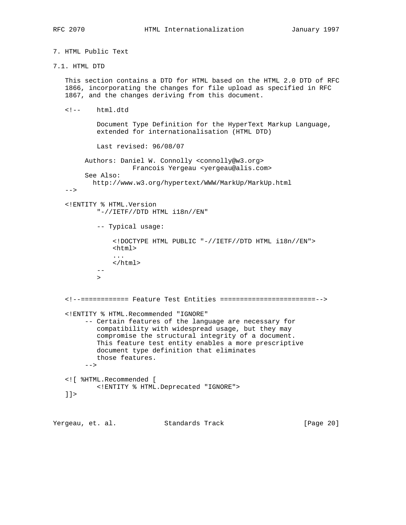7. HTML Public Text

7.1. HTML DTD

 This section contains a DTD for HTML based on the HTML 2.0 DTD of RFC 1866, incorporating the changes for file upload as specified in RFC 1867, and the changes deriving from this document.

<!-- html.dtd

 Document Type Definition for the HyperText Markup Language, extended for internationalisation (HTML DTD)

Last revised: 96/08/07

 Authors: Daniel W. Connolly <connolly@w3.org> Francois Yergeau <yergeau@alis.com> See Also:

http://www.w3.org/hypertext/WWW/MarkUp/MarkUp.html

 $--&$ 

 -- >

 <!ENTITY % HTML.Version "-//IETF//DTD HTML i18n//EN"

-- Typical usage:

 <!DOCTYPE HTML PUBLIC "-//IETF//DTD HTML i18n//EN"> <html> ... </html>

```
 <!--============ Feature Test Entities ========================-->
 <!ENTITY % HTML.Recommended "IGNORE"
      -- Certain features of the language are necessary for
        compatibility with widespread usage, but they may
         compromise the structural integrity of a document.
```
 This feature test entity enables a more prescriptive document type definition that eliminates those features. -->

 <![ %HTML.Recommended [ <!ENTITY % HTML.Deprecated "IGNORE">  $|$ ]  $>$ 

Yergeau, et. al. Standards Track [Page 20]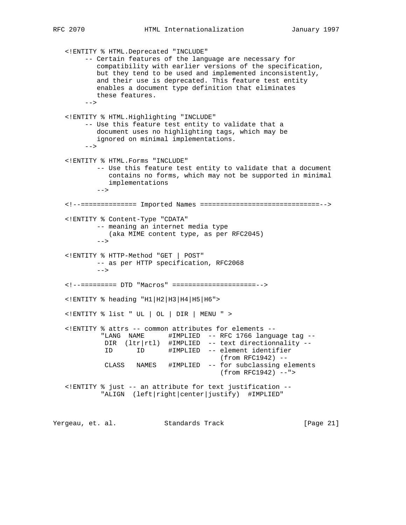<!ENTITY % HTML.Deprecated "INCLUDE" -- Certain features of the language are necessary for compatibility with earlier versions of the specification, but they tend to be used and implemented inconsistently, and their use is deprecated. This feature test entity enables a document type definition that eliminates these features.  $-->$  <!ENTITY % HTML.Highlighting "INCLUDE" -- Use this feature test entity to validate that a document uses no highlighting tags, which may be ignored on minimal implementations.  $-->$  <!ENTITY % HTML.Forms "INCLUDE" -- Use this feature test entity to validate that a document contains no forms, which may not be supported in minimal implementations  $-->$  <!--============== Imported Names ==============================--> <!ENTITY % Content-Type "CDATA" -- meaning an internet media type (aka MIME content type, as per RFC2045)  $-$  <!ENTITY % HTTP-Method "GET | POST" -- as per HTTP specification, RFC2068 --> <!--========= DTD "Macros" =====================--> <!ENTITY % heading "H1|H2|H3|H4|H5|H6"> <!ENTITY % list " UL | OL | DIR | MENU " > <!ENTITY % attrs -- common attributes for elements -- "LANG NAME #IMPLIED -- RFC 1766 language tag -- DIR (ltr|rtl) #IMPLIED -- text directionnality -- ID ID #IMPLIED -- element identifier (from RFC1942) -- CLASS NAMES #IMPLIED -- for subclassing elements (from RFC1942) --"> <!ENTITY % just -- an attribute for text justification -- "ALIGN (left|right|center|justify) #IMPLIED"

Yergeau, et. al. Standards Track [Page 21]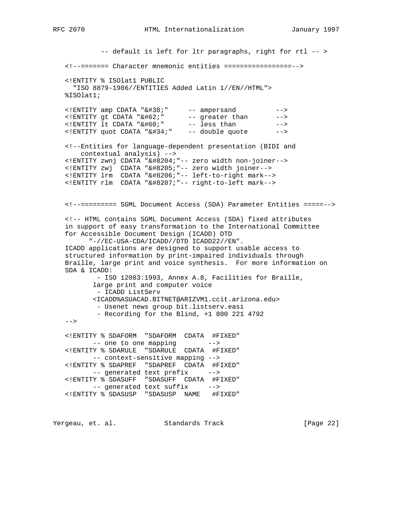-- default is left for ltr paragraphs, right for rtl -- > <!--======= Character mnemonic entities =================--> <!ENTITY % ISOlat1 PUBLIC "ISO 8879-1986//ENTITIES Added Latin 1//EN//HTML"> %ISOlat1; <!ENTITY amp CDATA "&#38;" -- ampersand --> <!ENTITY gt CDATA "&#62;" -- greater than --> <!ENTITY 1t CDATA "&#60;" -- less than --> <!ENTITY quot CDATA "&#34;" -- double quote --> <!--Entities for language-dependent presentation (BIDI and contextual analysis) --> <! ENTITY zwnj CDATA "&#8204; "-- zero width non-joiner--> <! ENTITY zwj CDATA "&#8205; "-- zero width joiner--> <! ENTITY lrm CDATA "&#8206; "-- left-to-right mark--> <! ENTITY rlm CDATA "&#8207; "-- right-to-left mark--> <!--========= SGML Document Access (SDA) Parameter Entities =====--> <!-- HTML contains SGML Document Access (SDA) fixed attributes in support of easy transformation to the International Committee for Accessible Document Design (ICADD) DTD "-//EC-USA-CDA/ICADD//DTD ICADD22//EN". ICADD applications are designed to support usable access to structured information by print-impaired individuals through Braille, large print and voice synthesis. For more information on SDA & ICADD: - ISO 12083:1993, Annex A.8, Facilities for Braille, large print and computer voice - ICADD ListServ <ICADD%ASUACAD.BITNET@ARIZVM1.ccit.arizona.edu> - Usenet news group bit.listserv.easi - Recording for the Blind, +1 800 221 4792  $--&>$  <!ENTITY % SDAFORM "SDAFORM CDATA #FIXED" -- one to one mapping --> <!ENTITY % SDARULE "SDARULE CDATA #FIXED" -- context-sensitive mapping --> <!ENTITY % SDAPREF "SDAPREF CDATA #FIXED" -- generated text prefix --> <!ENTITY % SDASUFF "SDASUFF CDATA #FIXED" -- generated text suffix --> <!ENTITY % SDASUSP "SDASUSP NAME #FIXED"

Yergeau, et. al. Standards Track [Page 22]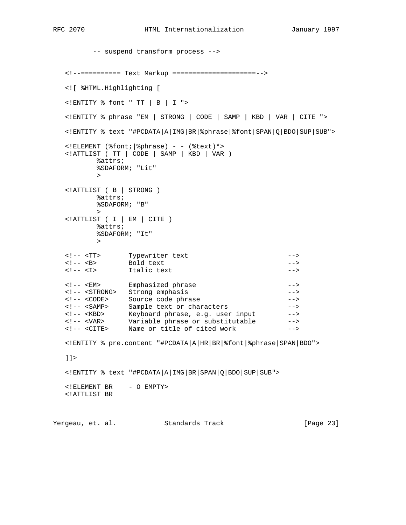```
 -- suspend transform process -->
   <!--========== Text Markup =====================-->
   <![ %HTML.Highlighting [
   <!ENTITY % font " TT | B | I ">
   <!ENTITY % phrase "EM | STRONG | CODE | SAMP | KBD | VAR | CITE ">
   <!ENTITY % text "#PCDATA|A|IMG|BR|%phrase|%font|SPAN|Q|BDO|SUP|SUB">
  \langle:ELEMENT (%font; |%phrase) - - (%text)*>
   <!ATTLIST ( TT | CODE | SAMP | KBD | VAR )
         %attrs;
         %SDAFORM; "Lit"
 >
   <!ATTLIST ( B | STRONG )
         %attrs;
         %SDAFORM; "B"
 >
   <!ATTLIST ( I | EM | CITE )
         %attrs;
         %SDAFORM; "It"
 >
 <!-- <TT> Typewriter text -->
<!-- <B> Bold text -->
 <!-- <I> Italic text -->
 <!-- <EM> Emphasized phrase -->
 <!-- <STRONG> Strong emphasis -->
 <!-- <CODE> Source code phrase -->
 <!-- <SAMP> Sample text or characters -->
 <!-- <KBD> Keyboard phrase, e.g. user input -->
 <!-- <VAR> Variable phrase or substitutable -->
 <!-- <CITE> Name or title of cited work -->
   <!ENTITY % pre.content "#PCDATA|A|HR|BR|%font|%phrase|SPAN|BDO">
  ]] >
   <!ENTITY % text "#PCDATA|A|IMG|BR|SPAN|Q|BDO|SUP|SUB">
  <!ELEMENT BR - O EMPTY>
   <!ATTLIST BR
```
Yergeau, et. al. Standards Track [Page 23]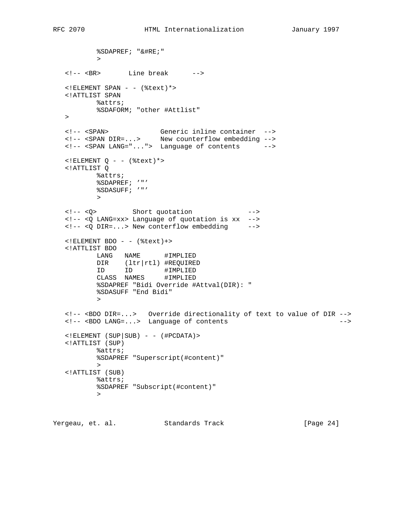%SDAPREF; "&#RE;" > <!-- <BR> Line break -->  $\leq$ !ELEMENT SPAN - - (%text)\*> <!ATTLIST SPAN %attrs; %SDAFORM; "other #Attlist"  $\geq$  <!-- <SPAN> Generic inline container --> <!-- <SPAN DIR=...> New counterflow embedding --> <!-- <SPAN LANG="..."> Language of contents -->  $\langle$ !ELEMENT Q - - (%text) \*> <!ATTLIST Q %attrs; %SDAPREF; '"' %SDASUFF; '"' > <!-- <Q> Short quotation --> <!-- <Q LANG=xx> Language of quotation is xx --> <!-- <Q DIR=...> New conterflow embedding -->  $\langle$ !ELEMENT BDO - - (%text)+> <!ATTLIST BDO LANG NAME #IMPLIED DIR (ltr|rtl) #REQUIRED ID ID #IMPLIED CLASS NAMES #IMPLIED %SDAPREF "Bidi Override #Attval(DIR): " %SDASUFF "End Bidi" > <!-- <BDO DIR=...> Override directionality of text to value of DIR --> <!-- <BDO LANG=...> Language of contents -->  $\langle$  : ELEMENT (SUP | SUB) - - (#PCDATA) > <!ATTLIST (SUP) %attrs; %SDAPREF "Superscript(#content)" > <!ATTLIST (SUB) %attrs; %SDAPREF "Subscript(#content)" >

Yergeau, et. al. Standards Track [Page 24]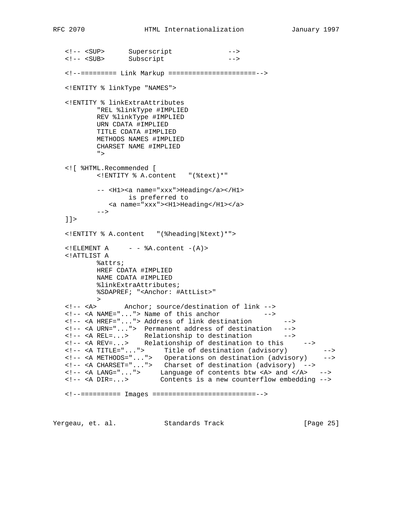<!-- <SUP> Superscript --> <!-- <SUB> Subscript --> <!--========= Link Markup ======================--> <!ENTITY % linkType "NAMES"> <!ENTITY % linkExtraAttributes "REL %linkType #IMPLIED REV %linkType #IMPLIED URN CDATA #IMPLIED TITLE CDATA #IMPLIED METHODS NAMES #IMPLIED CHARSET NAME #IMPLIED "> <![ %HTML.Recommended [ <!ENTITY % A.content "(%text)\*" -- <H1><a name="xxx">Heading</a></H1> is preferred to <a name="xxx"><H1>Heading</H1></a>  $--\rightarrow$  $|$ ] > <!ENTITY % A.content "(%heading|%text)\*">  $\leq$ !ELEMENT A  $\&$ A.content  $-(A)$ > <!ATTLIST A %attrs; HREF CDATA #IMPLIED NAME CDATA #IMPLIED %linkExtraAttributes; %SDAPREF; "<Anchor: #AttList>" > <!-- <A> Anchor; source/destination of link --> <!-- <A NAME="..."> Name of this anchor --> <!-- <A HREF="..."> Address of link destination --> <!-- <A URN="..."> Permanent address of destination --> <!-- <A REL=...> Relationship to destination --> <!-- <A REV=...> Relationship of destination to this --> <!-- <A TITLE="..."> Title of destination (advisory) --> <!-- <A METHODS="..."> Operations on destination (advisory) --> <!-- <A CHARSET="..."> Charset of destination (advisory) --> <!-- <A LANG="..."> Language of contents btw <A> and </A> --> <!-- <A DIR=...> Contents is a new counterflow embedding --> <!--========== Images ==========================-->

Yergeau, et. al. Standards Track [Page 25]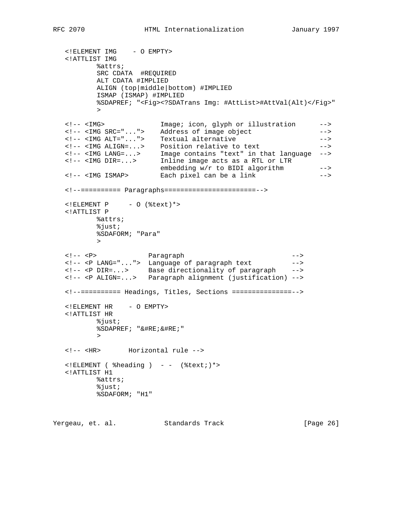<!ELEMENT IMG - O EMPTY> <!ATTLIST IMG %attrs; SRC CDATA #REQUIRED ALT CDATA #IMPLIED ALIGN (top|middle|bottom) #IMPLIED ISMAP (ISMAP) #IMPLIED %SDAPREF; "<Fig><?SDATrans Img: #AttList>#AttVal(Alt)</Fig>" > <!-- <IMG> Image; icon, glyph or illustration --> <!-- <IMG SRC="..."> Address of image object --> <!-- <IMG ALT="..."> Textual alternative --> <!-- <IMG ALIGN=...> Position relative to text --> <!-- <IMG LANG=...> Image contains "text" in that language --> <!-- <IMG DIR=...> Inline image acts as a RTL or LTR embedding w/r to BIDI algorithm --> <!-- <IMG ISMAP> Each pixel can be a link --> <!--========== Paragraphs=======================-->  $\leq$ !ELEMENT P - O (%text) \*> <!ATTLIST P %attrs; %just; %SDAFORM; "Para" > <!-- <P> Paragraph --> <!-- <P LANG="..."> Language of paragraph text --> <!-- <P DIR=...> Base directionality of paragraph --> <!-- <P ALIGN=...> Paragraph alignment (justification) --> <!--========== Headings, Titles, Sections ===============--> <!ELEMENT HR - O EMPTY> <!ATTLIST HR %just; %SDAPREF; "&#RE;&#RE;" > <!-- <HR> Horizontal rule -->  $\leq$ !ELEMENT ( %heading ) - - (%text; )\*> <!ATTLIST H1 %attrs; %just; %SDAFORM; "H1"

Yergeau, et. al. Standards Track [Page 26]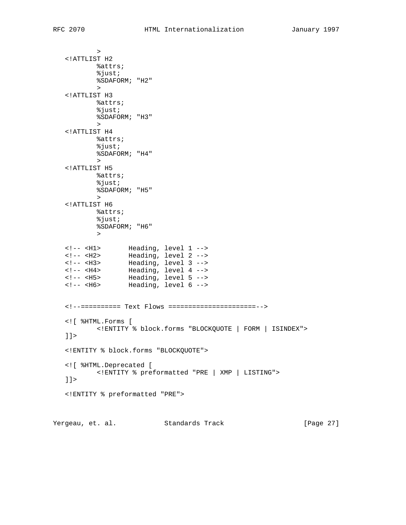> <!ATTLIST H2 %attrs; %just; %SDAFORM; "H2" > <!ATTLIST H3 %attrs; %just; %SDAFORM; "H3" > <!ATTLIST H4 %attrs; %just; %SDAFORM; "H4" > <!ATTLIST H5 %attrs; %just; %SDAFORM; "H5" > <!ATTLIST H6 %attrs; %just; %SDAFORM; "H6" > <!-- <H1> Heading, level 1 --> <!-- <H2> Heading, level 2 --> <!-- <H3> Heading, level 3 --> <!-- <H4> Heading, level 4 --> <!-- <H5> Heading, level 5 --> <!-- <H6> Heading, level 6 --> <!--========== Text Flows ======================--> <![ %HTML.Forms [ <!ENTITY % block.forms "BLOCKQUOTE | FORM | ISINDEX">  $]$ ] > <!ENTITY % block.forms "BLOCKQUOTE"> <![ %HTML.Deprecated [ <!ENTITY % preformatted "PRE | XMP | LISTING">  $]$ ] > <!ENTITY % preformatted "PRE">

Yergeau, et. al. Standards Track [Page 27]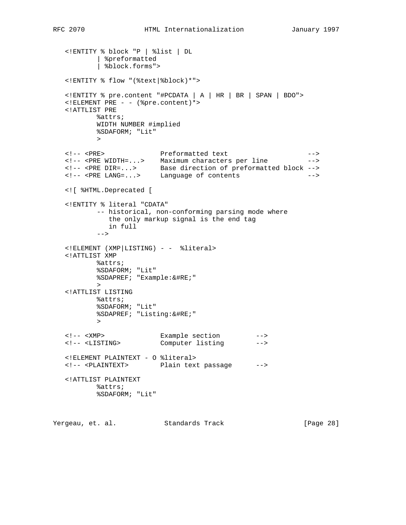```
 <!ENTITY % block "P | %list | DL
          | %preformatted
           | %block.forms">
   <!ENTITY % flow "(%text|%block)*">
   <!ENTITY % pre.content "#PCDATA | A | HR | BR | SPAN | BDO">
  \leq!ELEMENT PRE - - (%pre.content) *>
   <!ATTLIST PRE
          %attrs;
          WIDTH NUMBER #implied
          %SDAFORM; "Lit"
 >
 <!-- <PRE> Preformatted text -->
 <!-- <PRE WIDTH=...> Maximum characters per line -->
 <!-- <PRE DIR=...> Base direction of preformatted block -->
 <!-- <PRE LANG=...> Language of contents -->
   <![ %HTML.Deprecated [
   <!ENTITY % literal "CDATA"
          -- historical, non-conforming parsing mode where
            the only markup signal is the end tag
            in full
         --> <!ELEMENT (XMP|LISTING) - - %literal>
   <!ATTLIST XMP
          %attrs;
          %SDAFORM; "Lit"
          %SDAPREF; "Example:&#RE;"
 >
   <!ATTLIST LISTING
          %attrs;
          %SDAFORM; "Lit"
          %SDAPREF; "Listing:&#RE;"
 >
 <!-- <XMP> Example section -->
 <!-- <LISTING> Computer listing -->
   <!ELEMENT PLAINTEXT - O %literal>
   <!-- <PLAINTEXT> Plain text passage -->
   <!ATTLIST PLAINTEXT
          %attrs;
          %SDAFORM; "Lit"
```
Yergeau, et. al. Standards Track [Page 28]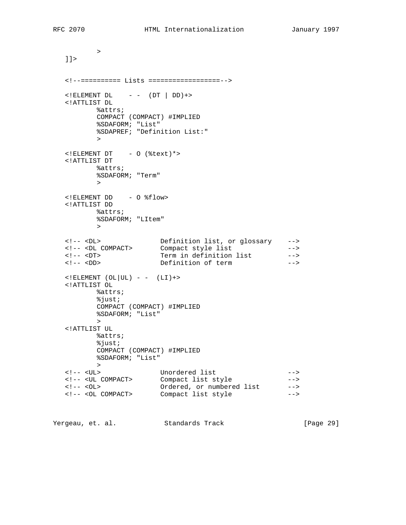> ]]> <!--========== Lists ==================-->  $\leq$ !ELEMENT DL  $- -$  (DT | DD) +> <!ATTLIST DL %attrs; COMPACT (COMPACT) #IMPLIED %SDAFORM; "List" %SDAPREF; "Definition List:" > <!ELEMENT DT - O (%text)\*> <!ATTLIST DT %attrs; %SDAFORM; "Term" > <!ELEMENT DD - O %flow> <!ATTLIST DD %attrs; %SDAFORM; "LItem" > <!-- <DL> Definition list, or glossary --> <!-- <DL COMPACT> Compact style list --> <!-- <DT> Term in definition list --> <!-- <DD> Definition of term -->  $\langle$  : ELEMENT  $(OL|UL)$  - -  $(LI)$  +> <!ATTLIST OL %attrs; %just; COMPACT (COMPACT) #IMPLIED %SDAFORM; "List" > <!ATTLIST UL %attrs; %just; COMPACT (COMPACT) #IMPLIED %SDAFORM; "List" > <!-- <UL> Unordered list --> <!-- <UL COMPACT> Compact list style --> <!-- <OL> Ordered, or numbered list --> <!-- <OL COMPACT> Compact list style -->

Yergeau, et. al. Standards Track [Page 29]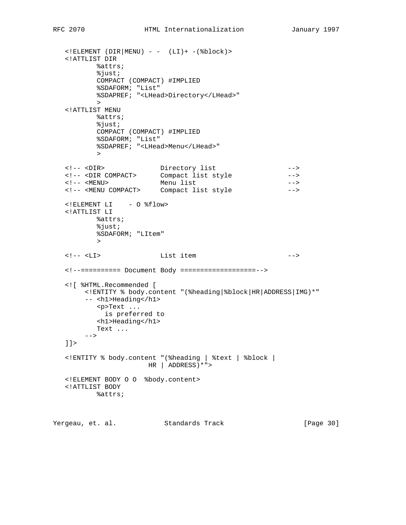```
\langle:ELEMENT (DIR|MENU) - - (LI)+ -(%block)>
   <!ATTLIST DIR
          %attrs;
          %just;
          COMPACT (COMPACT) #IMPLIED
          %SDAFORM; "List"
          %SDAPREF; "<LHead>Directory</LHead>"
 >
   <!ATTLIST MENU
          %attrs;
          %just;
          COMPACT (COMPACT) #IMPLIED
          %SDAFORM; "List"
          %SDAPREF; "<LHead>Menu</LHead>"
 >
 <!-- <DIR> Directory list -->
 <!-- <DIR COMPACT> Compact list style -->
 <!-- <MENU> Menu list -->
   <!-- <MENU COMPACT> Compact list style -->
   <!ELEMENT LI - O %flow>
   <!ATTLIST LI
          %attrs;
          %just;
          %SDAFORM; "LItem"
 >
   <!-- <LI> List item -->
   <!--========== Document Body ===================-->
   <![ %HTML.Recommended [
       <!ENTITY % body.content "(%heading|%block|HR|ADDRESS|IMG)*"
       -- <h1>Heading</h1>
          <p>Text ...
           is preferred to
          <h1>Heading</h1>
          Text ...
      --&]] >
   <!ENTITY % body.content "(%heading | %text | %block |
                     HR | ADDRESS)*">
   <!ELEMENT BODY O O %body.content>
   <!ATTLIST BODY
          %attrs;
```
Yergeau, et. al. Standards Track [Page 30]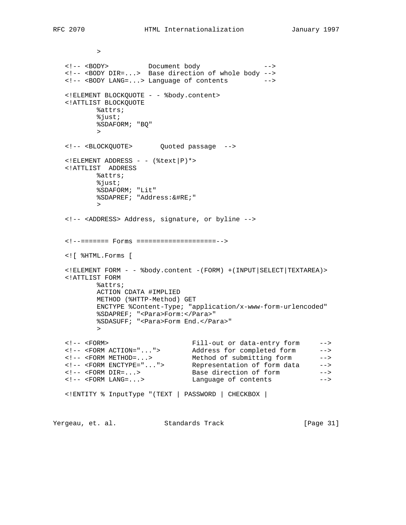```
 >
 <!-- <BODY> Document body -->
 <!-- <BODY DIR=...> Base direction of whole body -->
   <!-- <BODY LANG=...> Language of contents -->
   <!ELEMENT BLOCKQUOTE - - %body.content>
   <!ATTLIST BLOCKQUOTE
          %attrs;
          %just;
          %SDAFORM; "BQ"
 >
   <!-- <BLOCKQUOTE> Quoted passage -->
  \leq!ELEMENT ADDRESS - - (%text|P) *>
   <!ATTLIST ADDRESS
          %attrs;
          %just;
          %SDAFORM; "Lit"
          %SDAPREF; "Address:&#RE;"
 >
   <!-- <ADDRESS> Address, signature, or byline -->
   <!--======= Forms ====================-->
   <![ %HTML.Forms [
   <!ELEMENT FORM - - %body.content -(FORM) +(INPUT|SELECT|TEXTAREA)>
   <!ATTLIST FORM
          %attrs;
          ACTION CDATA #IMPLIED
          METHOD (%HTTP-Method) GET
          ENCTYPE %Content-Type; "application/x-www-form-urlencoded"
          %SDAPREF; "<Para>Form:</Para>"
          %SDASUFF; "<Para>Form End.</Para>"
 >
 <!-- <FORM> Fill-out or data-entry form -->
 <!-- <FORM ACTION="..."> Address for completed form -->
 <!-- <FORM METHOD=...> Method of submitting form -->
 <!-- <FORM ENCTYPE="..."> Representation of form data -->
 <!-- <FORM DIR=...> Base direction of form -->
 <!-- <FORM LANG=...> Language of contents -->
   <!ENTITY % InputType "(TEXT | PASSWORD | CHECKBOX |
```
Yergeau, et. al. Standards Track [Page 31]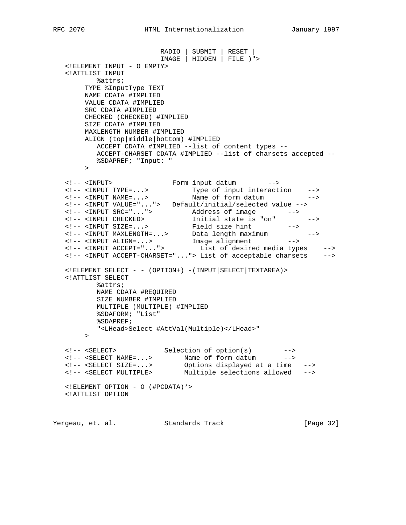RADIO | SUBMIT | RESET | IMAGE | HIDDEN | FILE )"> <!ELEMENT INPUT - O EMPTY> <!ATTLIST INPUT %attrs; TYPE %InputType TEXT NAME CDATA #IMPLIED VALUE CDATA #IMPLIED SRC CDATA #IMPLIED CHECKED (CHECKED) #IMPLIED SIZE CDATA #IMPLIED MAXLENGTH NUMBER #IMPLIED ALIGN (top|middle|bottom) #IMPLIED ACCEPT CDATA #IMPLIED --list of content types -- ACCEPT-CHARSET CDATA #IMPLIED --list of charsets accepted -- %SDAPREF; "Input: "  $\rightarrow$  <!-- <INPUT> Form input datum --> <!-- <INPUT TYPE=...> Type of input interaction --> <!-- <INPUT NAME=...> Name of form datum --> <!-- <INPUT VALUE="..."> Default/initial/selected value --> <!-- <INPUT SRC="..."> Address of image --> <!-- <INPUT CHECKED> Initial state is "on" --> <!-- <INPUT SIZE=...> Field size hint --> <!-- <INPUT MAXLENGTH=...> Data length maximum --> <!-- <INPUT ALIGN=...> Image alignment --> <!-- <INPUT ACCEPT="..."> List of desired media types --> <!-- <INPUT ACCEPT-CHARSET="..."> List of acceptable charsets --> <!ELEMENT SELECT - - (OPTION+) -(INPUT|SELECT|TEXTAREA)> <!ATTLIST SELECT %attrs; NAME CDATA #REQUIRED SIZE NUMBER #IMPLIED MULTIPLE (MULTIPLE) #IMPLIED %SDAFORM; "List" %SDAPREF; "<LHead>Select #AttVal(Multiple)</LHead>" > <!-- <SELECT> Selection of option(s) --> <!-- <SELECT NAME=...> Name of form datum --> <!-- <SELECT SIZE=...> Options displayed at a time --> <!-- <SELECT MULTIPLE> Multiple selections allowed --> <!ELEMENT OPTION - O (#PCDATA)\*> <!ATTLIST OPTION

Yergeau, et. al. Standards Track [Page 32]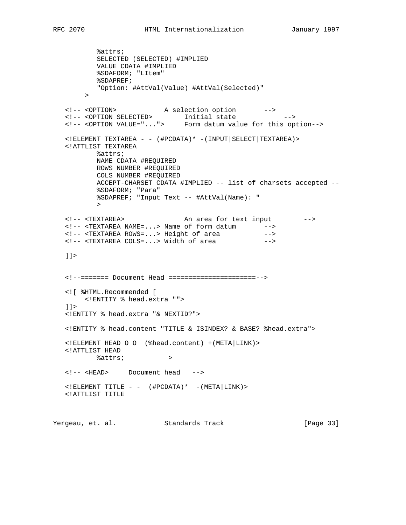%attrs; SELECTED (SELECTED) #IMPLIED VALUE CDATA #IMPLIED %SDAFORM; "LItem" %SDAPREF; "Option: #AttVal(Value) #AttVal(Selected)"  $\rightarrow$  <!-- <OPTION> A selection option --> <!-- <OPTION SELECTED> Initial state --> <!-- <OPTION VALUE="..."> Form datum value for this option--> <!ELEMENT TEXTAREA - - (#PCDATA)\* -(INPUT|SELECT|TEXTAREA)> <!ATTLIST TEXTAREA %attrs; NAME CDATA #REQUIRED ROWS NUMBER #REQUIRED COLS NUMBER #REQUIRED ACCEPT-CHARSET CDATA #IMPLIED -- list of charsets accepted -- %SDAFORM; "Para" %SDAPREF; "Input Text -- #AttVal(Name): " > <!-- <TEXTAREA> An area for text input --> <!-- <TEXTAREA NAME=...> Name of form datum --> <!-- <TEXTAREA ROWS=...> Height of area --> <!-- <TEXTAREA COLS=...> Width of area ]]> <!--======= Document Head ======================--> <![ %HTML.Recommended [ <!ENTITY % head.extra "">  $|$ ]  $>$  <!ENTITY % head.extra "& NEXTID?"> <!ENTITY % head.content "TITLE & ISINDEX? & BASE? %head.extra"> <!ELEMENT HEAD O O (%head.content) +(META|LINK)> <!ATTLIST HEAD %attrs; > <!-- <HEAD> Document head -->  $\langle$ !ELEMENT TITLE - - (#PCDATA)\* -(META LINK)> <!ATTLIST TITLE

Yergeau, et. al. Standards Track [Page 33]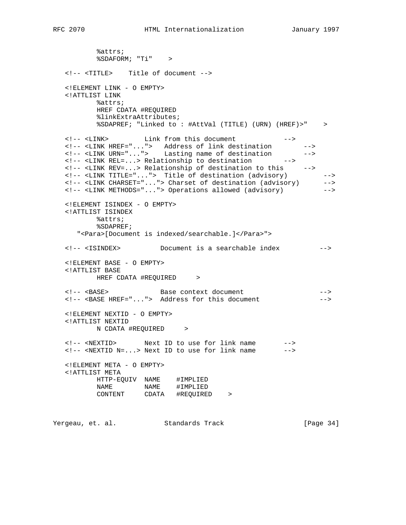%attrs; %SDAFORM; "Ti" > <!-- <TITLE> Title of document --> <!ELEMENT LINK - O EMPTY> <!ATTLIST LINK %attrs; HREF CDATA #REQUIRED %linkExtraAttributes; %SDAPREF; "Linked to : #AttVal (TITLE) (URN) (HREF)>" > <!-- <LINK> Link from this document --> <!-- <LINK HREF="..."> Address of link destination --> <!-- <LINK URN="..."> Lasting name of destination --> <!-- <LINK REL=...> Relationship to destination --> <!-- <LINK REV=...> Relationship of destination to this --> <!-- <LINK TITLE="..."> Title of destination (advisory) --> <!-- <LINK CHARSET="..."> Charset of destination (advisory) --> <!-- <LINK METHODS="..."> Operations allowed (advisory) --> <!ELEMENT ISINDEX - O EMPTY> <!ATTLIST ISINDEX %attrs; %SDAPREF; "<Para>[Document is indexed/searchable.]</Para>"> <!-- <ISINDEX> Document is a searchable index --> <!ELEMENT BASE - O EMPTY> <!ATTLIST BASE HREF CDATA #REQUIRED > <!-- <BASE> Base context document --> <!-- <BASE HREF="..."> Address for this document --> <!ELEMENT NEXTID - O EMPTY> <!ATTLIST NEXTID N CDATA #REQUIRED > <!-- <NEXTID> Next ID to use for link name --> <!-- <NEXTID N=...> Next ID to use for link name --> <!ELEMENT META - O EMPTY> <!ATTLIST META HTTP-EQUIV NAME #IMPLIED NAME NAME #IMPLIED CONTENT CDATA #REQUIRED >

Yergeau, et. al. Standards Track [Page 34]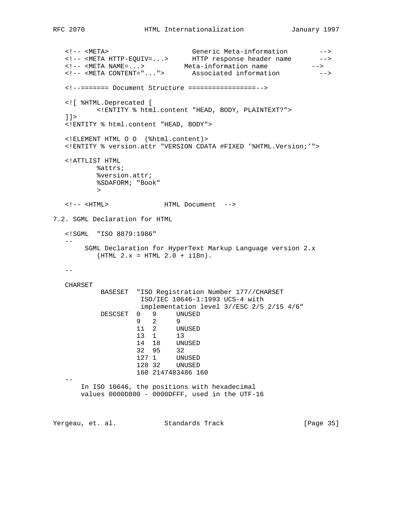```
 <!-- <META> Generic Meta-information -->
 <!-- <META HTTP-EQUIV=...> HTTP response header name -->
 <!-- <META NAME=...> Meta-information name -->
 <!-- <META CONTENT="..."> Associated information -->
   <!--======= Document Structure =================-->
   <![ %HTML.Deprecated [
         <!ENTITY % html.content "HEAD, BODY, PLAINTEXT?">
  ]] >
   <!ENTITY % html.content "HEAD, BODY">
   <!ELEMENT HTML O O (%html.content)>
   <!ENTITY % version.attr "VERSION CDATA #FIXED '%HTML.Version;'">
   <!ATTLIST HTML
         %attrs;
         %version.attr;
         %SDAFORM; "Book"
 >
   <!-- <HTML> HTML Document -->
7.2. SGML Declaration for HTML
   <!SGML "ISO 8879:1986"
- SGML Declaration for HyperText Markup Language version 2.x
        (HTML 2.x = HTML 2.0 + i18n).- CHARSET
          BASESET "ISO Registration Number 177//CHARSET
                 ISO/IEC 10646-1:1993 UCS-4 with
                 implementation level 3//ESC 2/5 2/15 4/6"
          DESCSET 0 9 UNUSED
 9 2 9
 11 2 UNUSED
 13 1 13
 14 18 UNUSED
 32 95 32
 127 1 UNUSED
 128 32 UNUSED
                 160 2147483486 160
 --
      In ISO 10646, the positions with hexadecimal
      values 0000D800 - 0000DFFF, used in the UTF-16
Yergeau, et. al. Standards Track [Page 35]
```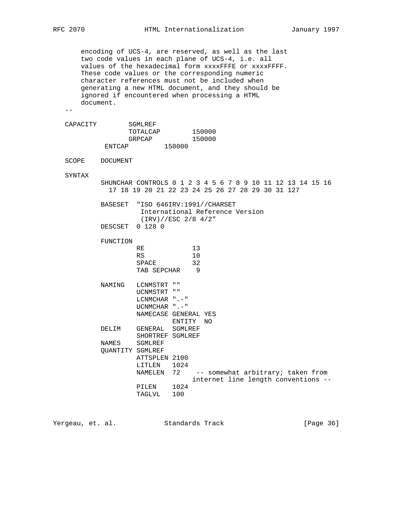encoding of UCS-4, are reserved, as well as the last two code values in each plane of UCS-4, i.e. all values of the hexadecimal form xxxxFFFE or xxxxFFFF. These code values or the corresponding numeric character references must not be included when generating a new HTML document, and they should be ignored if encountered when processing a HTML document.

 $-$ 

| SGMLREF  |        |        |
|----------|--------|--------|
| TOTALCAP |        | 150000 |
| GRPCAP   |        | 150000 |
| FNTCAP   | 150000 |        |
|          |        |        |

SCOPE DOCUMENT

SYNTAX

 SHUNCHAR CONTROLS 0 1 2 3 4 5 6 7 8 9 10 11 12 13 14 15 16 17 18 19 20 21 22 23 24 25 26 27 28 29 30 31 127

| BASESET "ISO 646IRV:1991//CHARSET |
|-----------------------------------|
| International Reference Version   |
| $(IRV) // ESC$ 2/8 4/2"           |

DESCSET 0 128 0

| FUNCTION                |                      |        |    |    |                                     |  |  |
|-------------------------|----------------------|--------|----|----|-------------------------------------|--|--|
|                         | RE                   |        | 13 |    |                                     |  |  |
|                         | RS                   |        | 10 |    |                                     |  |  |
|                         | SPACE                |        | 32 |    |                                     |  |  |
|                         | TAB SEPCHAR          |        | 9  |    |                                     |  |  |
| NAMING                  | LCNMSTRT ""          |        |    |    |                                     |  |  |
|                         | UCNMSTRT ""          |        |    |    |                                     |  |  |
|                         | LCNMCHAR $".-"$      |        |    |    |                                     |  |  |
|                         | UCNMCHAR ".-"        |        |    |    |                                     |  |  |
|                         | NAMECASE GENERAL YES |        |    |    |                                     |  |  |
|                         |                      | ENTITY |    | NO |                                     |  |  |
| DELIM                   | GENERAL SGMLREF      |        |    |    |                                     |  |  |
|                         | SHORTREF SGMLREF     |        |    |    |                                     |  |  |
| NAMES                   | SGMLREF              |        |    |    |                                     |  |  |
| <b>QUANTITY SGMLREF</b> |                      |        |    |    |                                     |  |  |
|                         | ATTSPLEN 2100        |        |    |    |                                     |  |  |
|                         | LITLEN               | 1024   |    |    |                                     |  |  |
|                         | NAMELEN              | 72     |    |    | -- somewhat arbitrary; taken from   |  |  |
|                         |                      |        |    |    | internet line length conventions -- |  |  |
|                         | PILEN                | 1024   |    |    |                                     |  |  |
|                         | TAGLVL               | 100    |    |    |                                     |  |  |

Yergeau, et. al. Standards Track [Page 36]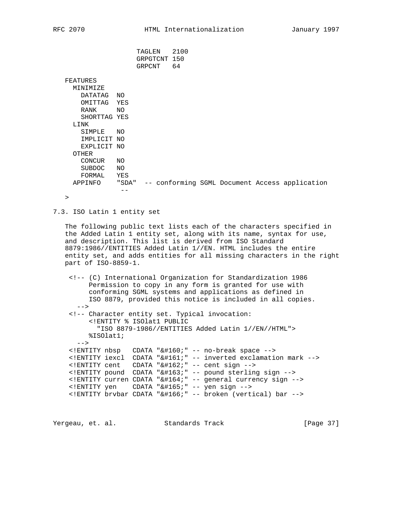TAGLEN 2100 GRPGTCNT 150 GRPCNT 64 FEATURES MINIMIZE DATATAG NO OMITTAG YES RANK NO SHORTTAG YES LINK SIMPLE NO IMPLICIT NO EXPLICIT NO OTHER CONCUR NO SUBDOC NO FORMAL YES APPINFO "SDA" -- conforming SGML Document Access application --

 $\rightarrow$ 

7.3. ISO Latin 1 entity set

 The following public text lists each of the characters specified in the Added Latin 1 entity set, along with its name, syntax for use, and description. This list is derived from ISO Standard 8879:1986//ENTITIES Added Latin 1//EN. HTML includes the entire entity set, and adds entities for all missing characters in the right part of ISO-8859-1.

 <!-- (C) International Organization for Standardization 1986 Permission to copy in any form is granted for use with conforming SGML systems and applications as defined in ISO 8879, provided this notice is included in all copies. --> <!-- Character entity set. Typical invocation: <!ENTITY % ISOlat1 PUBLIC "ISO 8879-1986//ENTITIES Added Latin 1//EN//HTML"> %ISOlat1;  $--&>$  <!ENTITY nbsp CDATA "&#160;" -- no-break space --> <! ENTITY iexcl CDATA "&#161; " -- inverted exclamation mark -->  $\le$ ! ENTITY cent CDATA "¢" -- cent sign --> <!ENTITY pound CDATA "&#163;" -- pound sterling sign --> <!ENTITY curren CDATA "&#164;" -- general currency sign --> <!ENTITY yen CDATA "&#165;" -- yen sign --> <!ENTITY brvbar CDATA "&#166;" -- broken (vertical) bar -->

Yergeau, et. al. Standards Track [Page 37]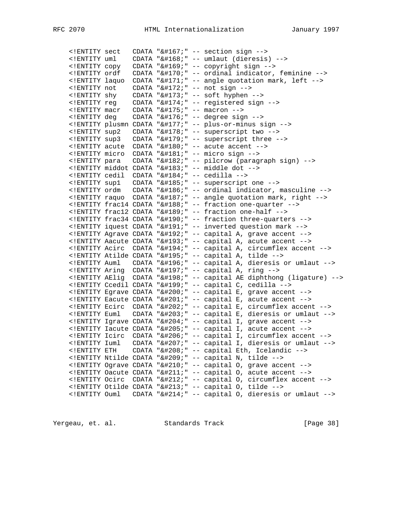| ENTITY sect</th <th></th> <th></th> <th>CDATA "<math>&amp;\#167</math>;" -- section sign --&gt;</th>   |  |  | CDATA " $&\#167$ ;" -- section sign -->                           |
|--------------------------------------------------------------------------------------------------------|--|--|-------------------------------------------------------------------|
| ENTITY uml</td <td></td> <td></td> <td>CDATA "¨" -- umlaut (dieresis) --&gt;</td>                      |  |  | CDATA "¨" -- umlaut (dieresis) -->                                |
| ENTITY copy</td <td></td> <td></td> <td>CDATA "©" -- copyright sign --&gt;</td>                        |  |  | CDATA "©" -- copyright sign -->                                   |
| ENTITY ordf</td <td></td> <td></td> <td>CDATA "ª" -- ordinal indicator, feminine --&gt;</td>           |  |  | CDATA "ª" -- ordinal indicator, feminine -->                      |
| ENTITY laquo</td <td></td> <td></td> <td>CDATA "«" -- angle quotation mark, left --&gt;</td>           |  |  | CDATA "«" -- angle quotation mark, left -->                       |
| ENTITY not</td <td></td> <td></td> <td>CDATA "¬" -- not sign --&gt;</td>                               |  |  | CDATA "¬" -- not sign -->                                         |
| ENTITY shy</td <td></td> <td></td> <td>CDATA "<math>&amp;\#173</math>;" -- soft hyphen --&gt;</td>     |  |  | CDATA " $&\#173$ ;" -- soft hyphen -->                            |
| ENTITY reg</td <td></td> <td></td> <td>CDATA "®" -- registered sign --&gt;</td>                        |  |  | CDATA "®" -- registered sign -->                                  |
| ENTITY macr</td <td></td> <td></td> <td>CDATA "<math>&amp;\#175;</math>" -- macron --&gt;</td>         |  |  | CDATA " $&\#175;$ " -- macron -->                                 |
| ENTITY deg</td <td></td> <td></td> <td>CDATA "<math>&amp;\#176</math>; " -- degree sign --&gt;</td>    |  |  | CDATA " $&\#176$ ; " -- degree sign -->                           |
|                                                                                                        |  |  | ENTITY plusmn CDATA "&#177;" -- plus-or-minus sign --             |
| ENTITY sup2</td <td></td> <td></td> <td>CDATA "²" -- superscript two --&gt;</td>                       |  |  | CDATA "²" -- superscript two -->                                  |
| ENTITY sup3</td <td></td> <td></td> <td>CDATA "³" -- superscript three --&gt;</td>                     |  |  | CDATA "³" -- superscript three -->                                |
| ENTITY acute</td <td></td> <td></td> <td>CDATA "<math>&amp;\#180</math>; " -- acute accent --&gt;</td> |  |  | CDATA " $&\#180$ ; " -- acute accent -->                          |
| ENTITY micro</td <td></td> <td></td> <td>CDATA "µ" -- micro sign --&gt;</td>                           |  |  | CDATA "µ" -- micro sign -->                                       |
| ENTITY para</td <td></td> <td></td> <td>CDATA "¶" -- pilcrow (paragraph sign) --&gt;</td>              |  |  | CDATA "¶" -- pilcrow (paragraph sign) -->                         |
|                                                                                                        |  |  | ENTITY middot CDATA "&#183;" -- middle dot --                     |
|                                                                                                        |  |  | ENTITY cedil CDATA "&#184;" -- cedilla --                         |
|                                                                                                        |  |  |                                                                   |
|                                                                                                        |  |  |                                                                   |
|                                                                                                        |  |  | ENTITY raquo CDATA "&#187;" -- angle quotation mark, right --     |
|                                                                                                        |  |  | ENTITY frac14 CDATA "&#188;" -- fraction one-quarter --           |
|                                                                                                        |  |  | ENTITY frac12 CDATA "&#189;" -- fraction one-half --              |
|                                                                                                        |  |  | ENTITY frac34 CDATA "&#190;" -- fraction three-quarters --        |
|                                                                                                        |  |  | ENTITY iquest CDATA "&#191; " -- inverted question mark --        |
|                                                                                                        |  |  | ENTITY Agrave CDATA "&#192;" -- capital A, grave accent --        |
|                                                                                                        |  |  | ENTITY Aacute CDATA "&#193;" -- capital A, acute accent --        |
|                                                                                                        |  |  | ENTITY Acirc CDATA "&#194;" -- capital A, circumflex accent --    |
|                                                                                                        |  |  | ENTITY Atilde CDATA "&#195;" -- capital A, tilde --               |
|                                                                                                        |  |  | ENTITY Auml  CDATA "&#196;" -- capital A, dieresis or umlaut --   |
|                                                                                                        |  |  | ENTITY Aring CDATA "&#197;" -- capital A, ring --                 |
|                                                                                                        |  |  | ENTITY AElig CDATA "&#198;" -- capital AE diphthong (ligature) -- |
|                                                                                                        |  |  | ENTITY Ccedil CDATA "&#199;" -- capital C, cedilla --             |
|                                                                                                        |  |  | ENTITY Egrave CDATA "&#200;" -- capital E, grave accent --        |
|                                                                                                        |  |  | ENTITY Eacute CDATA "&#201;" -- capital E, acute accent --        |
|                                                                                                        |  |  | ENTITY Ecirc CDATA "&#202;" -- capital E, circumflex accent --    |
|                                                                                                        |  |  | ENTITY Euml CDATA "&#203;" -- capital E, dieresis or umlaut --    |
|                                                                                                        |  |  | ENTITY Igrave CDATA "&#204;" -- capital I, grave accent --        |
|                                                                                                        |  |  | ENTITY Iacute CDATA "&#205;" -- capital I, acute accent --        |
|                                                                                                        |  |  | ENTITY Icirc CDATA "&#206;" -- capital I, circumflex accent --    |
| ENTITY Iuml</td <td></td> <td></td> <td>CDATA "Ï" -- capital I, dieresis or umlaut --&gt;</td>         |  |  | CDATA "Ï" -- capital I, dieresis or umlaut -->                    |
| ENTITY ETH</td <td></td> <td></td> <td>CDATA "Ð" -- capital Eth, Icelandic --&gt;</td>                 |  |  | CDATA "Ð" -- capital Eth, Icelandic -->                           |
|                                                                                                        |  |  | ENTITY Ntilde CDATA "&#209;" -- capital N, tilde --               |
|                                                                                                        |  |  | ENTITY Ograve CDATA "&#210;" -- capital O, grave accent --        |
|                                                                                                        |  |  | ENTITY Oacute CDATA "&#211;" -- capital O, acute accent --        |
|                                                                                                        |  |  | ENTITY Ocirc CDATA "&#212;" -- capital 0, circumflex accent --    |
|                                                                                                        |  |  | ENTITY Otilde CDATA "&#213;" -- capital 0, tilde --               |
|                                                                                                        |  |  |                                                                   |
|                                                                                                        |  |  | ENTITY Ouml CDATA "&#214;" -- capital O, dieresis or umlaut --    |

Yergeau, et. al. Standards Track [Page 38]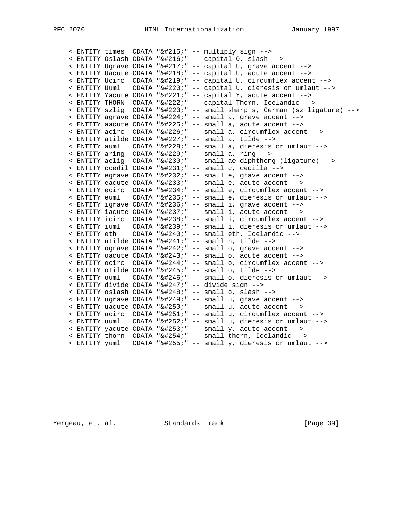|  |  |  | ENTITY times CDATA "&#215;" -- multiply sign --                       |
|--|--|--|-----------------------------------------------------------------------|
|  |  |  | ENTITY Oslash CDATA "&#216;" -- capital O, slash --                   |
|  |  |  | ENTITY Ugrave CDATA "&#217;" -- capital U, grave accent --            |
|  |  |  | ENTITY Uacute CDATA "&#218;" -- capital U, acute accent --            |
|  |  |  | ENTITY Ucirc CDATA "&#219;" -- capital U, circumflex accent --        |
|  |  |  | ENTITY Uuml  CDATA "&#220;" -- capital U, dieresis or umlaut --       |
|  |  |  | ENTITY Yacute CDATA "&#221;" -- capital Y, acute accent --            |
|  |  |  | ENTITY THORN CDATA "&#222;" -- capital Thorn, Icelandic --            |
|  |  |  | ENTITY szlig CDATA "&#223;" -- small sharp s, German (sz ligature) -- |
|  |  |  | ENTITY agrave CDATA "&#224; " -- small a, grave accent --             |
|  |  |  | ENTITY aacute CDATA "&#225;" -- small a, acute accent --              |
|  |  |  | ENTITY acirc CDATA "&#226;" -- small a, circumflex accent --          |
|  |  |  | ENTITY atilde CDATA "&#227;" -- small a, tilde --                     |
|  |  |  | ENTITY auml CDATA "&#228;" -- small a, dieresis or umlaut --          |
|  |  |  | ENTITY aring CDATA "&#229;" -- small a, ring --                       |
|  |  |  | ENTITY aelig CDATA "&#230;" -- small ae diphthong (ligature) --       |
|  |  |  | ENTITY ccedil CDATA "&#231;" -- small c, cedilla --                   |
|  |  |  | ENTITY egrave CDATA "&#232;" -- small e, grave accent --              |
|  |  |  | ENTITY eacute CDATA "&#233;" -- small e, acute accent --              |
|  |  |  | ENTITY ecirc CDATA "&#234; " -- small e, circumflex accent --         |
|  |  |  | ENTITY euml CDATA "&#235;" -- small e, dieresis or umlaut --          |
|  |  |  | ENTITY igrave CDATA "&#236;" -- small i, grave accent --              |
|  |  |  | ENTITY iacute CDATA "&#237;" -- small i, acute accent --              |
|  |  |  | ENTITY icirc CDATA "&#238;" -- small i, circumflex accent --          |
|  |  |  | ENTITY iuml  CDATA "&#239;" -- small i, dieresis or umlaut --         |
|  |  |  |                                                                       |
|  |  |  | ENTITY ntilde CDATA "&#241;" -- small n, tilde --                     |
|  |  |  | ENTITY ograve CDATA "&#242;" -- small o, grave accent --              |
|  |  |  | ENTITY oacute CDATA "&#243;" -- small o, acute accent --              |
|  |  |  | ENTITY ocirc CDATA "&#244;" -- small o, circumflex accent --          |
|  |  |  | ENTITY otilde CDATA "&#245;" -- small o, tilde --                     |
|  |  |  | ENTITY ouml CDATA "&#246;" -- small o, dieresis or umlaut --          |
|  |  |  | ENTITY divide CDATA "&#247;" -- divide sign --                        |
|  |  |  | ENTITY oslash CDATA "&#248;" -- small o, slash --                     |
|  |  |  | ENTITY ugrave CDATA "&#249; " -- small u, grave accent --             |
|  |  |  | ENTITY uacute CDATA "&#250;" -- small u, acute accent --              |
|  |  |  | ENTITY ucirc CDATA "&#251;" -- small u, circumflex accent --          |
|  |  |  | ENTITY uuml CDATA "&#252;" -- small u, dieresis or umlaut --          |
|  |  |  | ENTITY yacute CDATA "&#253; " -- small y, acute accent --             |
|  |  |  | ENTITY thorn CDATA "&#254;" -- small thorn, Icelandic --              |
|  |  |  | ENTITY yuml  CDATA "&#255;" -- small y, dieresis or umlaut --         |
|  |  |  |                                                                       |

Yergeau, et. al. Standards Track [Page 39]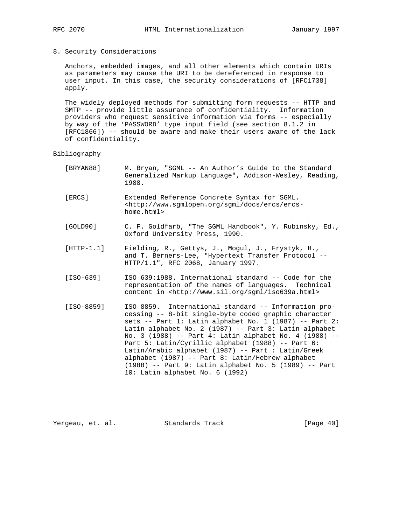8. Security Considerations

 Anchors, embedded images, and all other elements which contain URIs as parameters may cause the URI to be dereferenced in response to user input. In this case, the security considerations of [RFC1738] apply.

 The widely deployed methods for submitting form requests -- HTTP and SMTP -- provide little assurance of confidentiality. Information providers who request sensitive information via forms -- especially by way of the 'PASSWORD' type input field (see section 8.1.2 in [RFC1866]) -- should be aware and make their users aware of the lack of confidentiality.

#### Bibliography

- [BRYAN88] M. Bryan, "SGML -- An Author's Guide to the Standard Generalized Markup Language", Addison-Wesley, Reading, 1988.
- [ERCS] Extended Reference Concrete Syntax for SGML. <http://www.sgmlopen.org/sgml/docs/ercs/ercs home.html>
- [GOLD90] C. F. Goldfarb, "The SGML Handbook", Y. Rubinsky, Ed., Oxford University Press, 1990.
- [HTTP-1.1] Fielding, R., Gettys, J., Mogul, J., Frystyk, H., and T. Berners-Lee, "Hypertext Transfer Protocol -- HTTP/1.1", RFC 2068, January 1997.
- [ISO-639] ISO 639:1988. International standard -- Code for the representation of the names of languages. Technical content in <http://www.sil.org/sgml/iso639a.html>
- [ISO-8859] ISO 8859. International standard -- Information pro cessing -- 8-bit single-byte coded graphic character sets -- Part 1: Latin alphabet No. 1 (1987) -- Part 2: Latin alphabet No. 2 (1987) -- Part 3: Latin alphabet No. 3 (1988) -- Part 4: Latin alphabet No. 4 (1988) -- Part 5: Latin/Cyrillic alphabet (1988) -- Part 6: Latin/Arabic alphabet (1987) -- Part : Latin/Greek alphabet (1987) -- Part 8: Latin/Hebrew alphabet (1988) -- Part 9: Latin alphabet No. 5 (1989) -- Part 10: Latin alphabet No. 6 (1992)

Yergeau, et. al. Standards Track [Page 40]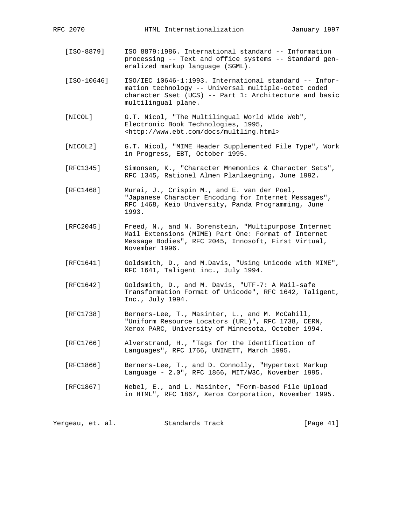[ISO-8879] ISO 8879:1986. International standard -- Information processing -- Text and office systems -- Standard gen eralized markup language (SGML).

 [ISO-10646] ISO/IEC 10646-1:1993. International standard -- Infor mation technology -- Universal multiple-octet coded character Sset (UCS) -- Part 1: Architecture and basic multilingual plane.

- [NICOL] G.T. Nicol, "The Multilingual World Wide Web", Electronic Book Technologies, 1995, <http://www.ebt.com/docs/multling.html>
- [NICOL2] G.T. Nicol, "MIME Header Supplemented File Type", Work in Progress, EBT, October 1995.
	- [RFC1345] Simonsen, K., "Character Mnemonics & Character Sets", RFC 1345, Rationel Almen Planlaegning, June 1992.

 [RFC1468] Murai, J., Crispin M., and E. van der Poel, "Japanese Character Encoding for Internet Messages", RFC 1468, Keio University, Panda Programming, June 1993.

- [RFC2045] Freed, N., and N. Borenstein, "Multipurpose Internet Mail Extensions (MIME) Part One: Format of Internet Message Bodies", RFC 2045, Innosoft, First Virtual, November 1996.
- [RFC1641] Goldsmith, D., and M.Davis, "Using Unicode with MIME", RFC 1641, Taligent inc., July 1994.
- [RFC1642] Goldsmith, D., and M. Davis, "UTF-7: A Mail-safe Transformation Format of Unicode", RFC 1642, Taligent, Inc., July 1994.
- [RFC1738] Berners-Lee, T., Masinter, L., and M. McCahill, "Uniform Resource Locators (URL)", RFC 1738, CERN, Xerox PARC, University of Minnesota, October 1994.
- [RFC1766] Alverstrand, H., "Tags for the Identification of Languages", RFC 1766, UNINETT, March 1995.
- [RFC1866] Berners-Lee, T., and D. Connolly, "Hypertext Markup Language - 2.0", RFC 1866, MIT/W3C, November 1995.
- [RFC1867] Nebel, E., and L. Masinter, "Form-based File Upload in HTML", RFC 1867, Xerox Corporation, November 1995.

Yergeau, et. al. Standards Track [Page 41]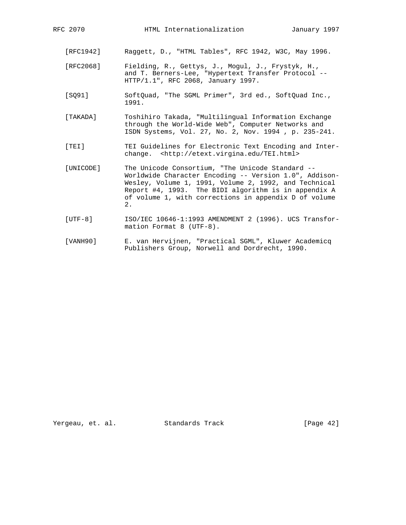- [RFC1942] Raggett, D., "HTML Tables", RFC 1942, W3C, May 1996.
- [RFC2068] Fielding, R., Gettys, J., Mogul, J., Frystyk, H., and T. Berners-Lee, "Hypertext Transfer Protocol -- HTTP/1.1", RFC 2068, January 1997.
- [SQ91] SoftQuad, "The SGML Primer", 3rd ed., SoftQuad Inc., 1991.
- [TAKADA] Toshihiro Takada, "Multilingual Information Exchange through the World-Wide Web", Computer Networks and ISDN Systems, Vol. 27, No. 2, Nov. 1994 , p. 235-241.
- [TEI] TEI Guidelines for Electronic Text Encoding and Inter change. <http://etext.virgina.edu/TEI.html>
- [UNICODE] The Unicode Consortium, "The Unicode Standard -- Worldwide Character Encoding -- Version 1.0", Addison- Wesley, Volume 1, 1991, Volume 2, 1992, and Technical Report #4, 1993. The BIDI algorithm is in appendix A of volume 1, with corrections in appendix D of volume  $2.2$ 
	- [UTF-8] ISO/IEC 10646-1:1993 AMENDMENT 2 (1996). UCS Transfor mation Format 8 (UTF-8).
	- [VANH90] E. van Hervijnen, "Practical SGML", Kluwer Academicq Publishers Group, Norwell and Dordrecht, 1990.

Yergeau, et. al. Standards Track [Page 42]